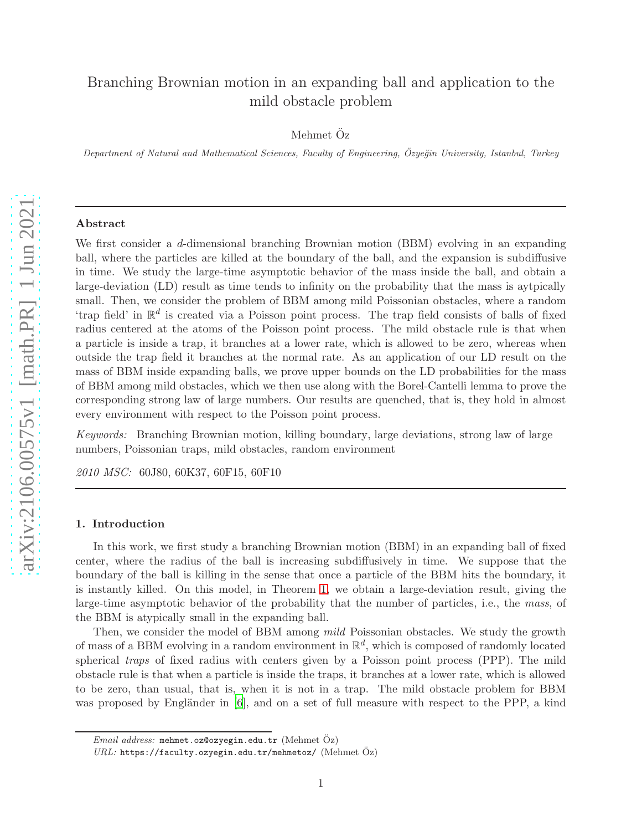# Branching Brownian motion in an expanding ball and application to the mild obstacle problem

Mehmet Öz

Department of Natural and Mathematical Sciences, Faculty of Engineering, Özyeğin University, Istanbul, Turkey

### Abstract

We first consider a d-dimensional branching Brownian motion (BBM) evolving in an expanding ball, where the particles are killed at the boundary of the ball, and the expansion is subdiffusive in time. We study the large-time asymptotic behavior of the mass inside the ball, and obtain a large-deviation (LD) result as time tends to infinity on the probability that the mass is aytpically small. Then, we consider the problem of BBM among mild Poissonian obstacles, where a random 'trap field' in  $\mathbb{R}^d$  is created via a Poisson point process. The trap field consists of balls of fixed radius centered at the atoms of the Poisson point process. The mild obstacle rule is that when a particle is inside a trap, it branches at a lower rate, which is allowed to be zero, whereas when outside the trap field it branches at the normal rate. As an application of our LD result on the mass of BBM inside expanding balls, we prove upper bounds on the LD probabilities for the mass of BBM among mild obstacles, which we then use along with the Borel-Cantelli lemma to prove the corresponding strong law of large numbers. Our results are quenched, that is, they hold in almost every environment with respect to the Poisson point process.

Keywords: Branching Brownian motion, killing boundary, large deviations, strong law of large numbers, Poissonian traps, mild obstacles, random environment

2010 MSC: 60J80, 60K37, 60F15, 60F10

### 1. Introduction

In this work, we first study a branching Brownian motion (BBM) in an expanding ball of fixed center, where the radius of the ball is increasing subdiffusively in time. We suppose that the boundary of the ball is killing in the sense that once a particle of the BBM hits the boundary, it is instantly killed. On this model, in Theorem [1,](#page-4-0) we obtain a large-deviation result, giving the large-time asymptotic behavior of the probability that the number of particles, i.e., the mass, of the BBM is atypically small in the expanding ball.

Then, we consider the model of BBM among *mild* Poissonian obstacles. We study the growth of mass of a BBM evolving in a random environment in  $\mathbb{R}^d$ , which is composed of randomly located spherical *traps* of fixed radius with centers given by a Poisson point process (PPP). The mild obstacle rule is that when a particle is inside the traps, it branches at a lower rate, which is allowed to be zero, than usual, that is, when it is not in a trap. The mild obstacle problem for BBM was proposed by Engländer in  $[6]$ , and on a set of full measure with respect to the PPP, a kind

 $Email \ address: \ member.$ oz@ozyegin.edu.tr (Mehmet Öz)

 $URL:$  https://faculty.ozyegin.edu.tr/mehmetoz/ (Mehmet  $Oz$ )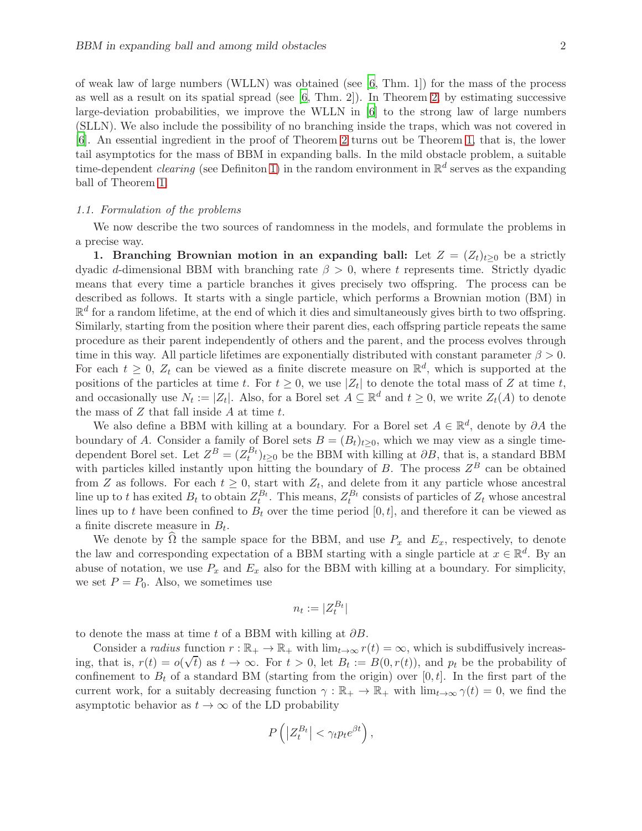of weak law of large numbers (WLLN) was obtained (see  $[6, Thm. 1]$ ) for the mass of the process as well as a result on its spatial spread (see  $[6, Thm. 2]$ ). In Theorem [2,](#page-5-0) by estimating successive large-deviation probabilities, we improve the WLLN in [\[6](#page-23-0)] to the strong law of large numbers (SLLN). We also include the possibility of no branching inside the traps, which was not covered in [\[6](#page-23-0)]. An essential ingredient in the proof of Theorem [2](#page-5-0) turns out be Theorem [1,](#page-4-0) that is, the lower tail asymptotics for the mass of BBM in expanding balls. In the mild obstacle problem, a suitable time-dependent *clearing* (see Definiton [1\)](#page-6-0) in the random environment in  $\mathbb{R}^d$  serves as the expanding ball of Theorem [1.](#page-4-0)

### 1.1. Formulation of the problems

We now describe the two sources of randomness in the models, and formulate the problems in a precise way.

1. Branching Brownian motion in an expanding ball: Let  $Z = (Z_t)_{t\geq 0}$  be a strictly dyadic d-dimensional BBM with branching rate  $\beta > 0$ , where t represents time. Strictly dyadic means that every time a particle branches it gives precisely two offspring. The process can be described as follows. It starts with a single particle, which performs a Brownian motion (BM) in  $\mathbb{R}^d$  for a random lifetime, at the end of which it dies and simultaneously gives birth to two offspring. Similarly, starting from the position where their parent dies, each offspring particle repeats the same procedure as their parent independently of others and the parent, and the process evolves through time in this way. All particle lifetimes are exponentially distributed with constant parameter  $\beta > 0$ . For each  $t \geq 0$ ,  $Z_t$  can be viewed as a finite discrete measure on  $\mathbb{R}^d$ , which is supported at the positions of the particles at time t. For  $t \geq 0$ , we use  $|Z_t|$  to denote the total mass of Z at time t, and occasionally use  $N_t := |Z_t|$ . Also, for a Borel set  $A \subseteq \mathbb{R}^d$  and  $t \geq 0$ , we write  $Z_t(A)$  to denote the mass of  $Z$  that fall inside  $A$  at time  $t$ .

We also define a BBM with killing at a boundary. For a Borel set  $A \in \mathbb{R}^d$ , denote by  $\partial A$  the boundary of A. Consider a family of Borel sets  $B = (B_t)_{t\geq 0}$ , which we may view as a single timedependent Borel set. Let  $Z^B = (Z_t^{B_t})_{t\geq 0}$  be the BBM with killing at  $\partial B$ , that is, a standard BBM with particles killed instantly upon hitting the boundary of B. The process  $Z^B$  can be obtained from Z as follows. For each  $t \geq 0$ , start with  $Z_t$ , and delete from it any particle whose ancestral line up to t has exited  $B_t$  to obtain  $Z_t^{B_t}$ . This means,  $Z_t^{B_t}$  consists of particles of  $Z_t$  whose ancestral lines up to t have been confined to  $B_t$  over the time period  $[0, t]$ , and therefore it can be viewed as a finite discrete measure in  $B_t$ .

We denote by  $\widehat{\Omega}$  the sample space for the BBM, and use  $P_x$  and  $E_x$ , respectively, to denote the law and corresponding expectation of a BBM starting with a single particle at  $x \in \mathbb{R}^d$ . By an abuse of notation, we use  $P_x$  and  $E_x$  also for the BBM with killing at a boundary. For simplicity, we set  $P = P_0$ . Also, we sometimes use

$$
n_t := |Z_t^{B_t}|
$$

to denote the mass at time t of a BBM with killing at  $\partial B$ .

Consider a radius function  $r : \mathbb{R}_+ \to \mathbb{R}_+$  with  $\lim_{t\to\infty} r(t) = \infty$ , which is subdiffusively increasing, that is,  $r(t) = o(\sqrt{t})$  as  $t \to \infty$ . For  $t > 0$ , let  $B_t := B(0, r(t))$ , and  $p_t$  be the probability of confinement to  $B_t$  of a standard BM (starting from the origin) over [0, t]. In the first part of the current work, for a suitably decreasing function  $\gamma : \mathbb{R}_+ \to \mathbb{R}_+$  with  $\lim_{t\to\infty} \gamma(t) = 0$ , we find the asymptotic behavior as  $t \to \infty$  of the LD probability

$$
P\left(\left|Z_t^{B_t}\right| < \gamma_t p_t e^{\beta t}\right),\
$$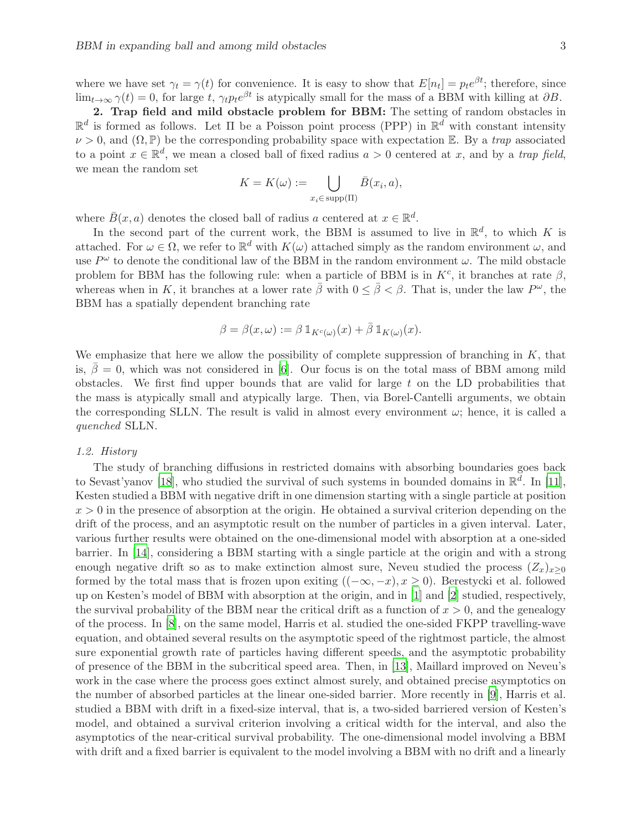where we have set  $\gamma_t = \gamma(t)$  for convenience. It is easy to show that  $E[n_t] = p_t e^{\beta t}$ ; therefore, since  $\lim_{t\to\infty} \gamma(t) = 0$ , for large t,  $\gamma_t p_t e^{\beta t}$  is atypically small for the mass of a BBM with killing at  $\partial B$ .

2. Trap field and mild obstacle problem for BBM: The setting of random obstacles in  $\mathbb{R}^d$  is formed as follows. Let  $\Pi$  be a Poisson point process (PPP) in  $\mathbb{R}^d$  with constant intensity  $\nu > 0$ , and  $(\Omega, \mathbb{P})$  be the corresponding probability space with expectation E. By a *trap* associated to a point  $x \in \mathbb{R}^d$ , we mean a closed ball of fixed radius  $a > 0$  centered at x, and by a trap field, we mean the random set

$$
K = K(\omega) := \bigcup_{x_i \in \text{supp}(\Pi)} \bar{B}(x_i, a),
$$

where  $\bar{B}(x, a)$  denotes the closed ball of radius a centered at  $x \in \mathbb{R}^d$ .

In the second part of the current work, the BBM is assumed to live in  $\mathbb{R}^d$ , to which K is attached. For  $\omega \in \Omega$ , we refer to  $\mathbb{R}^d$  with  $K(\omega)$  attached simply as the random environment  $\omega$ , and use  $P^{\omega}$  to denote the conditional law of the BBM in the random environment  $\omega$ . The mild obstacle problem for BBM has the following rule: when a particle of BBM is in  $K^c$ , it branches at rate  $\beta$ , whereas when in K, it branches at a lower rate  $\bar{\beta}$  with  $0 \leq \bar{\beta} < \beta$ . That is, under the law  $P^{\omega}$ , the BBM has a spatially dependent branching rate

$$
\beta = \beta(x,\omega) := \beta \, \mathbb{1}_{K^c(\omega)}(x) + \bar{\beta} \, \mathbb{1}_{K(\omega)}(x).
$$

We emphasize that here we allow the possibility of complete suppression of branching in  $K$ , that is,  $\bar{\beta} = 0$ , which was not considered in [\[6](#page-23-0)]. Our focus is on the total mass of BBM among mild obstacles. We first find upper bounds that are valid for large  $t$  on the LD probabilities that the mass is atypically small and atypically large. Then, via Borel-Cantelli arguments, we obtain the corresponding SLLN. The result is valid in almost every environment  $\omega$ ; hence, it is called a quenched SLLN.

### 1.2. History

The study of branching diffusions in restricted domains with absorbing boundaries goes back to Sevast'yanov [\[18\]](#page-23-1), who studied the survival of such systems in bounded domains in  $\mathbb{R}^d$ . In [\[11\]](#page-23-2), Kesten studied a BBM with negative drift in one dimension starting with a single particle at position  $x > 0$  in the presence of absorption at the origin. He obtained a survival criterion depending on the drift of the process, and an asymptotic result on the number of particles in a given interval. Later, various further results were obtained on the one-dimensional model with absorption at a one-sided barrier. In [\[14](#page-23-3)], considering a BBM starting with a single particle at the origin and with a strong enough negative drift so as to make extinction almost sure, Neveu studied the process  $(Z_x)_{x>0}$ formed by the total mass that is frozen upon exiting  $((-\infty, -x), x \ge 0)$ . Berestycki et al. followed up on Kesten's model of BBM with absorption at the origin, and in [\[1](#page-22-0)] and [\[2](#page-22-1)] studied, respectively, the survival probability of the BBM near the critical drift as a function of  $x > 0$ , and the genealogy of the process. In [\[8](#page-23-4)], on the same model, Harris et al. studied the one-sided FKPP travelling-wave equation, and obtained several results on the asymptotic speed of the rightmost particle, the almost sure exponential growth rate of particles having different speeds, and the asymptotic probability of presence of the BBM in the subcritical speed area. Then, in [\[13](#page-23-5)], Maillard improved on Neveu's work in the case where the process goes extinct almost surely, and obtained precise asymptotics on the number of absorbed particles at the linear one-sided barrier. More recently in [\[9](#page-23-6)], Harris et al. studied a BBM with drift in a fixed-size interval, that is, a two-sided barriered version of Kesten's model, and obtained a survival criterion involving a critical width for the interval, and also the asymptotics of the near-critical survival probability. The one-dimensional model involving a BBM with drift and a fixed barrier is equivalent to the model involving a BBM with no drift and a linearly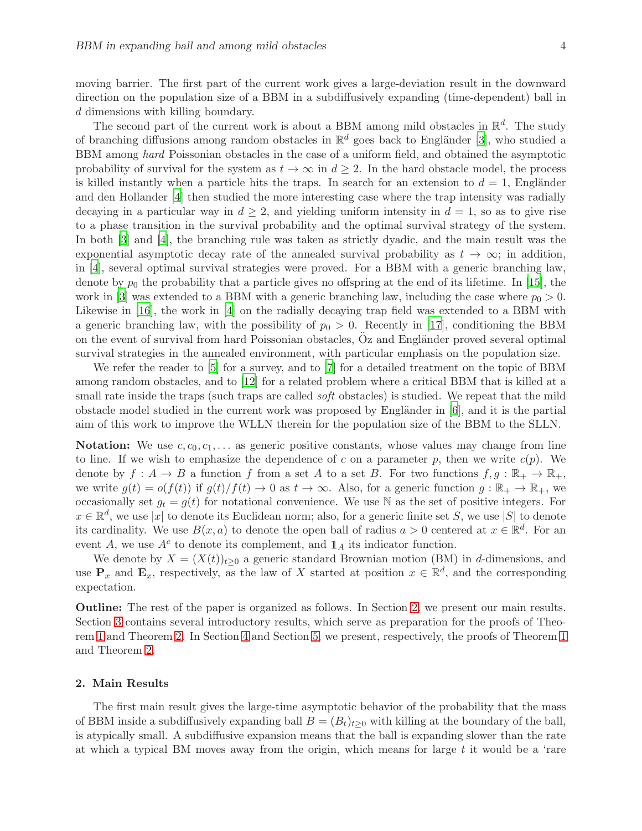moving barrier. The first part of the current work gives a large-deviation result in the downward direction on the population size of a BBM in a subdiffusively expanding (time-dependent) ball in d dimensions with killing boundary.

The second part of the current work is about a BBM among mild obstacles in  $\mathbb{R}^d$ . The study of branching diffusions among random obstacles in  $\mathbb{R}^d$  goes back to Engländer [\[3](#page-23-7)], who studied a BBM among hard Poissonian obstacles in the case of a uniform field, and obtained the asymptotic probability of survival for the system as  $t \to \infty$  in  $d > 2$ . In the hard obstacle model, the process is killed instantly when a particle hits the traps. In search for an extension to  $d = 1$ , Engländer and den Hollander [\[4](#page-23-8)] then studied the more interesting case where the trap intensity was radially decaying in a particular way in  $d \geq 2$ , and yielding uniform intensity in  $d = 1$ , so as to give rise to a phase transition in the survival probability and the optimal survival strategy of the system. In both [\[3\]](#page-23-7) and [\[4](#page-23-8)], the branching rule was taken as strictly dyadic, and the main result was the exponential asymptotic decay rate of the annealed survival probability as  $t \to \infty$ ; in addition, in [\[4\]](#page-23-8), several optimal survival strategies were proved. For a BBM with a generic branching law, denote by  $p_0$  the probability that a particle gives no offspring at the end of its lifetime. In [\[15](#page-23-9)], the work in [\[3](#page-23-7)] was extended to a BBM with a generic branching law, including the case where  $p_0 > 0$ . Likewise in [\[16](#page-23-10)], the work in [\[4\]](#page-23-8) on the radially decaying trap field was extended to a BBM with a generic branching law, with the possibility of  $p_0 > 0$ . Recently in [\[17](#page-23-11)], conditioning the BBM on the event of survival from hard Poissonian obstacles, Oz and Engländer proved several optimal survival strategies in the annealed environment, with particular emphasis on the population size.

We refer the reader to [\[5](#page-23-12)] for a survey, and to [\[7\]](#page-23-13) for a detailed treatment on the topic of BBM among random obstacles, and to [\[12](#page-23-14)] for a related problem where a critical BBM that is killed at a small rate inside the traps (such traps are called *soft* obstacles) is studied. We repeat that the mild obstacle model studied in the current work was proposed by Engländer in  $[6]$ , and it is the partial aim of this work to improve the WLLN therein for the population size of the BBM to the SLLN.

**Notation:** We use  $c, c_0, c_1, \ldots$  as generic positive constants, whose values may change from line to line. If we wish to emphasize the dependence of c on a parameter p, then we write  $c(p)$ . We denote by  $f: A \to B$  a function f from a set A to a set B. For two functions  $f, g: \mathbb{R}_+ \to \mathbb{R}_+$ , we write  $g(t) = o(f(t))$  if  $g(t)/f(t) \to 0$  as  $t \to \infty$ . Also, for a generic function  $g : \mathbb{R}_+ \to \mathbb{R}_+$ , we occasionally set  $g_t = g(t)$  for notational convenience. We use N as the set of positive integers. For  $x \in \mathbb{R}^d$ , we use |x| to denote its Euclidean norm; also, for a generic finite set S, we use |S| to denote its cardinality. We use  $B(x, a)$  to denote the open ball of radius  $a > 0$  centered at  $x \in \mathbb{R}^d$ . For an event A, we use  $A^c$  to denote its complement, and  $\mathbb{1}_A$  its indicator function.

We denote by  $X = (X(t))_{t>0}$  a generic standard Brownian motion (BM) in d-dimensions, and use  $\mathbf{P}_x$  and  $\mathbf{E}_x$ , respectively, as the law of X started at position  $x \in \mathbb{R}^d$ , and the corresponding expectation.

Outline: The rest of the paper is organized as follows. In Section [2,](#page-3-0) we present our main results. Section [3](#page-5-1) contains several introductory results, which serve as preparation for the proofs of Theorem [1](#page-4-0) and Theorem [2.](#page-5-0) In Section [4](#page-8-0) and Section [5,](#page-12-0) we present, respectively, the proofs of Theorem [1](#page-4-0) and Theorem [2.](#page-5-0)

### <span id="page-3-0"></span>2. Main Results

The first main result gives the large-time asymptotic behavior of the probability that the mass of BBM inside a subdiffusively expanding ball  $B = (B_t)_{t>0}$  with killing at the boundary of the ball, is atypically small. A subdiffusive expansion means that the ball is expanding slower than the rate at which a typical BM moves away from the origin, which means for large  $t$  it would be a 'rare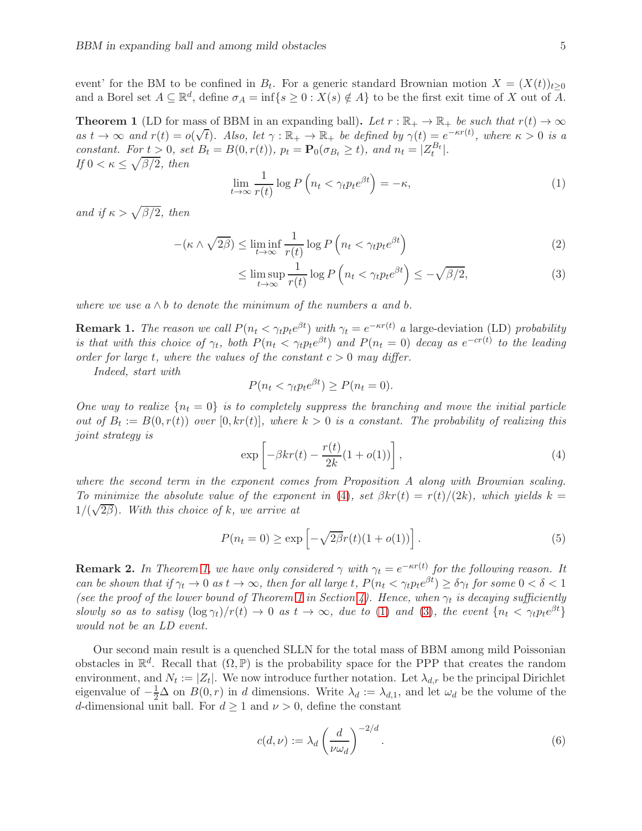event' for the BM to be confined in  $B_t$ . For a generic standard Brownian motion  $X = (X(t))_{t \geq 0}$ and a Borel set  $A \subseteq \mathbb{R}^d$ , define  $\sigma_A = \inf\{s \geq 0 : X(s) \notin A\}$  to be the first exit time of X out of  $\overline{A}$ .

<span id="page-4-0"></span>**Theorem 1** (LD for mass of BBM in an expanding ball). Let  $r : \mathbb{R}_+ \to \mathbb{R}_+$  be such that  $r(t) \to \infty$ as  $t \to \infty$  and  $r(t) = o(\sqrt{t})$ . Also, let  $\gamma : \mathbb{R}_+ \to \mathbb{R}_+$  be defined by  $\gamma(t) = e^{-\kappa r(t)}$ , where  $\kappa > 0$  is a constant. For  $t > 0$ , set  $B_t = B(0, r(t))$ ,  $p_t = \mathbf{P}_0(\sigma_{B_t} \ge t)$ , and  $n_t = |Z_t^{B_t}|$ . If  $0 < \kappa \leq \sqrt{\beta/2}$ , then

<span id="page-4-2"></span>
$$
\lim_{t \to \infty} \frac{1}{r(t)} \log P\left(n_t < \gamma_t p_t e^{\beta t}\right) = -\kappa,\tag{1}
$$

and if  $\kappa > \sqrt{\beta/2}$ , then

$$
-(\kappa \wedge \sqrt{2\beta}) \le \liminf_{t \to \infty} \frac{1}{r(t)} \log P\left(n_t < \gamma_t p_t e^{\beta t}\right) \tag{2}
$$

<span id="page-4-5"></span><span id="page-4-3"></span>
$$
\leq \limsup_{t \to \infty} \frac{1}{r(t)} \log P\left(n_t < \gamma_t p_t e^{\beta t}\right) \leq -\sqrt{\beta/2},\tag{3}
$$

where we use  $a \wedge b$  to denote the minimum of the numbers a and b.

**Remark 1.** The reason we call  $P(n_t \leq \gamma_t p_t e^{\beta t})$  with  $\gamma_t = e^{-\kappa r(t)}$  a large-deviation (LD) probability is that with this choice of  $\gamma_t$ , both  $P(n_t < \gamma_t p_t e^{\beta t})$  and  $P(n_t = 0)$  decay as  $e^{-cr(t)}$  to the leading order for large t, where the values of the constant  $c > 0$  may differ.

Indeed, start with

$$
P(n_t < \gamma_t p_t e^{\beta t}) \ge P(n_t = 0).
$$

One way to realize  ${n_t = 0}$  is to completely suppress the branching and move the initial particle out of  $B_t := B(0, r(t))$  over  $[0, kr(t)]$ , where  $k > 0$  is a constant. The probability of realizing this joint strategy is

<span id="page-4-1"></span>
$$
\exp\left[-\beta kr(t) - \frac{r(t)}{2k}(1+o(1))\right],\tag{4}
$$

where the second term in the exponent comes from Proposition A along with Brownian scaling. To minimize the absolute value of the exponent in [\(4\)](#page-4-1), set  $\beta k r(t) = r(t)/(2k)$ , which yields k =  $1/(\sqrt{2\beta})$ . With this choice of k, we arrive at

<span id="page-4-4"></span>
$$
P(n_t = 0) \ge \exp\left[-\sqrt{2\beta}r(t)(1 + o(1))\right].\tag{5}
$$

**Remark 2.** In Theorem [1,](#page-4-0) we have only considered  $\gamma$  with  $\gamma_t = e^{-\kappa r(t)}$  for the following reason. It can be shown that if  $\gamma_t \to 0$  as  $t \to \infty$ , then for all large t,  $P(n_t < \gamma_t p_t e^{\beta t}) \ge \delta \gamma_t$  for some  $0 < \delta < 1$ (see the proof of the lower bound of Theorem [1](#page-4-0) in Section [4\)](#page-8-0). Hence, when  $\gamma_t$  is decaying sufficiently slowly so as to satisy  $(\log \gamma_t)/r(t) \to 0$  as  $t \to \infty$ , due to [\(1\)](#page-4-2) and [\(3\)](#page-4-3), the event  $\{n_t < \gamma_t p_t e^{\beta t}\}\$ would not be an LD event.

Our second main result is a quenched SLLN for the total mass of BBM among mild Poissonian obstacles in  $\mathbb{R}^d$ . Recall that  $(\Omega, \mathbb{P})$  is the probability space for the PPP that creates the random environment, and  $N_t := |Z_t|$ . We now introduce further notation. Let  $\lambda_{d,r}$  be the principal Dirichlet eigenvalue of  $-\frac{1}{2}\Delta$  on  $B(0,r)$  in d dimensions. Write  $\lambda_d := \lambda_{d,1}$ , and let  $\omega_d$  be the volume of the d-dimensional unit ball. For  $d \geq 1$  and  $\nu > 0$ , define the constant

$$
c(d,\nu) := \lambda_d \left(\frac{d}{\nu \omega_d}\right)^{-2/d}.\tag{6}
$$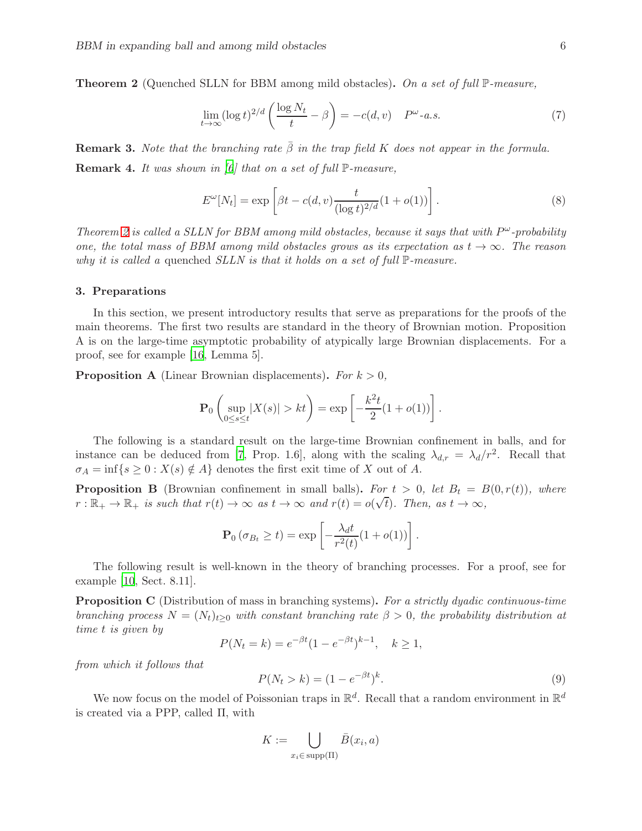<span id="page-5-0"></span>**Theorem 2** (Quenched SLLN for BBM among mild obstacles). On a set of full  $\mathbb{P}$ -measure,

<span id="page-5-4"></span>
$$
\lim_{t \to \infty} (\log t)^{2/d} \left( \frac{\log N_t}{t} - \beta \right) = -c(d, v) \quad P^{\omega} - a.s. \tag{7}
$$

**Remark 3.** Note that the branching rate  $\bar{\beta}$  in the trap field K does not appear in the formula. **Remark 4.** It was shown in [\[6](#page-23-0)] that on a set of full  $\mathbb{P}$ -measure,

<span id="page-5-3"></span>
$$
E^{\omega}[N_t] = \exp\left[\beta t - c(d, v)\frac{t}{(\log t)^{2/d}}(1 + o(1))\right].
$$
 (8)

Theorem [2](#page-5-0) is called a SLLN for BBM among mild obstacles, because it says that with  $P^{\omega}$ -probability one, the total mass of BBM among mild obstacles grows as its expectation as  $t \to \infty$ . The reason why it is called a quenched SLLN is that it holds on a set of full  $\mathbb{P}\text{-}measure.$ 

#### <span id="page-5-1"></span>3. Preparations

In this section, we present introductory results that serve as preparations for the proofs of the main theorems. The first two results are standard in the theory of Brownian motion. Proposition A is on the large-time asymptotic probability of atypically large Brownian displacements. For a proof, see for example [\[16](#page-23-10), Lemma 5].

**Proposition A** (Linear Brownian displacements). For  $k > 0$ ,

$$
\mathbf{P}_0 \left( \sup_{0 \le s \le t} |X(s)| > kt \right) = \exp \left[ -\frac{k^2 t}{2} (1 + o(1)) \right].
$$

The following is a standard result on the large-time Brownian confinement in balls, and for instance can be deduced from [\[7](#page-23-13), Prop. 1.6], along with the scaling  $\lambda_{d,r} = \lambda_d/r^2$ . Recall that  $\sigma_A = \inf\{s \geq 0 : X(s) \notin A\}$  denotes the first exit time of X out of A.

**Proposition B** (Brownian confinement in small balls). For  $t > 0$ , let  $B_t = B(0, r(t))$ , where  $r : \mathbb{R}_+ \to \mathbb{R}_+$  is such that  $r(t) \to \infty$  as  $t \to \infty$  and  $r(t) = o(\sqrt{t})$ . Then, as  $t \to \infty$ ,

$$
\mathbf{P}_0 \left( \sigma_{B_t} \ge t \right) = \exp \left[ -\frac{\lambda_d t}{r^2(t)} (1 + o(1)) \right].
$$

The following result is well-known in the theory of branching processes. For a proof, see for example [\[10,](#page-23-15) Sect. 8.11].

**Proposition C** (Distribution of mass in branching systems). For a strictly dyadic continuous-time branching process  $N = (N_t)_{t\geq 0}$  with constant branching rate  $\beta > 0$ , the probability distribution at time t is given by

$$
P(N_t = k) = e^{-\beta t} (1 - e^{-\beta t})^{k-1}, \quad k \ge 1,
$$

from which it follows that

<span id="page-5-2"></span>
$$
P(N_t > k) = (1 - e^{-\beta t})^k.
$$
\n(9)

We now focus on the model of Poissonian traps in  $\mathbb{R}^d$ . Recall that a random environment in  $\mathbb{R}^d$ is created via a PPP, called Π, with

$$
K := \bigcup_{x_i \in \text{supp}(\Pi)} \bar{B}(x_i, a)
$$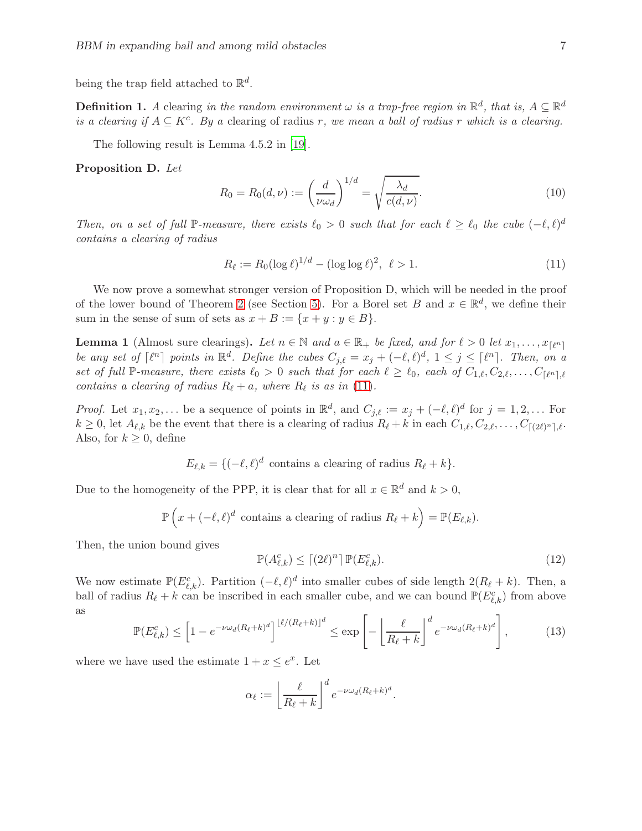being the trap field attached to  $\mathbb{R}^d$ .

<span id="page-6-0"></span>**Definition 1.** A clearing in the random environment  $\omega$  is a trap-free region in  $\mathbb{R}^d$ , that is,  $A \subseteq \mathbb{R}^d$ is a clearing if  $A \subseteq K^c$ . By a clearing of radius r, we mean a ball of radius r which is a clearing.

The following result is Lemma 4.5.2 in [\[19](#page-23-16)].

Proposition D. Let

<span id="page-6-4"></span>
$$
R_0 = R_0(d, \nu) := \left(\frac{d}{\nu \omega_d}\right)^{1/d} = \sqrt{\frac{\lambda_d}{c(d, \nu)}}.
$$
\n(10)

Then, on a set of full P-measure, there exists  $\ell_0 > 0$  such that for each  $\ell \geq \ell_0$  the cube  $(-\ell, \ell)^d$ contains a clearing of radius

<span id="page-6-1"></span>
$$
R_{\ell} := R_0 (\log \ell)^{1/d} - (\log \log \ell)^2, \ \ell > 1.
$$
 (11)

We now prove a somewhat stronger version of Proposition D, which will be needed in the proof of the lower bound of Theorem [2](#page-5-0) (see Section [5\)](#page-12-0). For a Borel set B and  $x \in \mathbb{R}^d$ , we define their sum in the sense of sum of sets as  $x + B := \{x + y : y \in B\}.$ 

<span id="page-6-5"></span>**Lemma 1** (Almost sure clearings). Let  $n \in \mathbb{N}$  and  $a \in \mathbb{R}_+$  be fixed, and for  $\ell > 0$  let  $x_1, \ldots, x_{\lceil \ell^n \rceil}$ be any set of  $\lceil \ell^n \rceil$  points in  $\mathbb{R}^d$ . Define the cubes  $C_{j,\ell} = x_j + (-\ell,\ell)^d$ ,  $1 \le j \le \lceil \ell^n \rceil$ . Then, on a set of full P-measure, there exists  $\ell_0 > 0$  such that for each  $\ell \geq \ell_0$ , each of  $C_{1,\ell}, C_{2,\ell}, \ldots, C_{\lceil \ell^n \rceil, \ell}$ contains a clearing of radius  $R_{\ell} + a$ , where  $R_{\ell}$  is as in [\(11\)](#page-6-1).

*Proof.* Let  $x_1, x_2, \ldots$  be a sequence of points in  $\mathbb{R}^d$ , and  $C_{j,\ell} := x_j + (-\ell,\ell)^d$  for  $j = 1,2,\ldots$  For  $k \geq 0$ , let  $A_{\ell,k}$  be the event that there is a clearing of radius  $R_{\ell} + k$  in each  $C_{1,\ell}, C_{2,\ell}, \ldots, C_{\lceil(2\ell)^n\rceil,\ell}$ . Also, for  $k \geq 0$ , define

$$
E_{\ell,k} = \{ (-\ell,\ell)^d \text{ contains a clearing of radius } R_{\ell} + k \}.
$$

Due to the homogeneity of the PPP, it is clear that for all  $x \in \mathbb{R}^d$  and  $k > 0$ ,

$$
\mathbb{P}\left(x+(-\ell,\ell)^d\text{ contains a clearing of radius }R_{\ell}+k\right)=\mathbb{P}(E_{\ell,k}).
$$

Then, the union bound gives

<span id="page-6-3"></span>
$$
\mathbb{P}(A_{\ell,k}^c) \le \lceil (2\ell)^n \rceil \, \mathbb{P}(E_{\ell,k}^c). \tag{12}
$$

We now estimate  $\mathbb{P}(E_{\ell,k}^c)$ . Partition  $(-\ell,\ell)^d$  into smaller cubes of side length  $2(R_{\ell}+k)$ . Then, a ball of radius  $R_{\ell} + k$  can be inscribed in each smaller cube, and we can bound  $\mathbb{P}(E_{\ell,k}^c)$  from above as

<span id="page-6-2"></span>
$$
\mathbb{P}(E_{\ell,k}^c) \le \left[1 - e^{-\nu \omega_d (R_\ell + k)^d}\right]^{\lfloor \ell/(R_\ell + k) \rfloor^d} \le \exp\left[-\left[\frac{\ell}{R_\ell + k}\right]^d e^{-\nu \omega_d (R_\ell + k)^d}\right],\tag{13}
$$

where we have used the estimate  $1 + x \le e^x$ . Let

$$
\alpha_{\ell} := \left\lfloor \frac{\ell}{R_{\ell} + k} \right\rfloor^{d} e^{-\nu \omega_{d}(R_{\ell} + k)^{d}}.
$$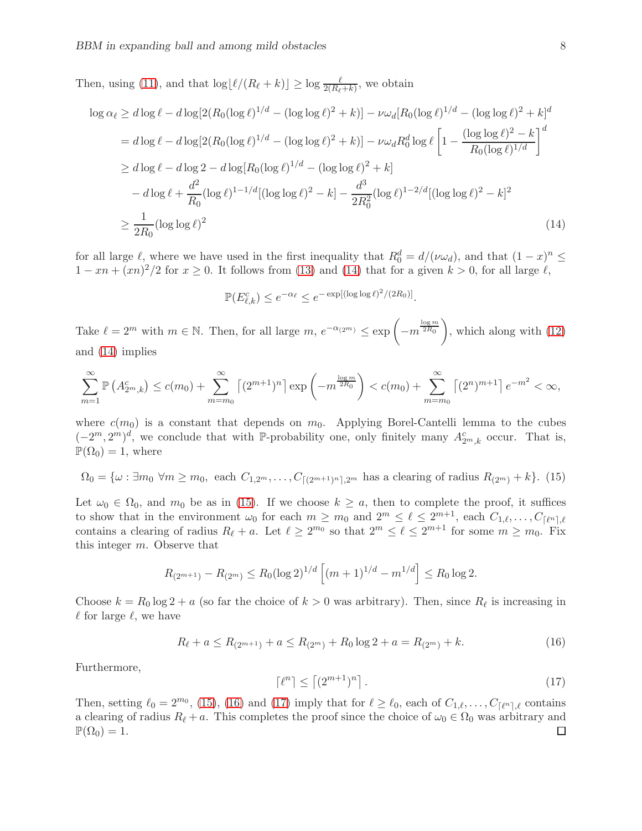Then, using [\(11\)](#page-6-1), and that  $\log \lfloor \ell/(R_{\ell}+k) \rfloor \ge \log \frac{\ell}{2(R_{\ell}+k)}$ , we obtain

$$
\log \alpha_{\ell} \geq d \log \ell - d \log [2(R_0(\log \ell)^{1/d} - (\log \log \ell)^2 + k)] - \nu \omega_d [R_0(\log \ell)^{1/d} - (\log \log \ell)^2 + k]^d
$$
  
=  $d \log \ell - d \log [2(R_0(\log \ell)^{1/d} - (\log \log \ell)^2 + k)] - \nu \omega_d R_0^d \log \ell \left[1 - \frac{(\log \log \ell)^2 - k}{R_0(\log \ell)^{1/d}}\right]^d$   

$$
\geq d \log \ell - d \log 2 - d \log[R_0(\log \ell)^{1/d} - (\log \log \ell)^2 + k]
$$
  

$$
- d \log \ell + \frac{d^2}{R_0} (\log \ell)^{1-1/d} [(\log \log \ell)^2 - k] - \frac{d^3}{2R_0^2} (\log \ell)^{1-2/d} [(\log \log \ell)^2 - k]^2
$$
  

$$
\geq \frac{1}{2R_0} (\log \log \ell)^2
$$
(14)

for all large  $\ell$ , where we have used in the first inequality that  $R_0^d = d/(\nu \omega_d)$ , and that  $(1-x)^n \le$  $1 - xn + (xn)^2/2$  for  $x \ge 0$ . It follows from [\(13\)](#page-6-2) and [\(14\)](#page-7-0) that for a given  $k > 0$ , for all large  $\ell$ ,

<span id="page-7-0"></span>
$$
\mathbb{P}(E_{\ell,k}^c) \le e^{-\alpha_{\ell}} \le e^{-\exp[(\log \log \ell)^2/(2R_0)]}.
$$

Take  $\ell = 2^m$  with  $m \in \mathbb{N}$ . Then, for all large  $m, e^{-\alpha_{(2^m)}} \leq \exp\left(-m^{\frac{\log m}{2R_0}}\right)$ , which along with [\(12\)](#page-6-3) and [\(14\)](#page-7-0) implies

$$
\sum_{m=1}^{\infty} \mathbb{P}\left(A_{2^m,k}^c\right) \le c(m_0) + \sum_{m=m_0}^{\infty} \left[ (2^{m+1})^n \right] \exp\left(-m^{\frac{\log m}{2R_0}}\right) < c(m_0) + \sum_{m=m_0}^{\infty} \left[ (2^n)^{m+1} \right] e^{-m^2} < \infty,
$$

where  $c(m_0)$  is a constant that depends on  $m_0$ . Applying Borel-Cantelli lemma to the cubes  $(-2^m, 2^m)^d$ , we conclude that with P-probability one, only finitely many  $A_{2^m,k}^c$  occur. That is,  $\mathbb{P}(\Omega_0) = 1$ , where

<span id="page-7-1"></span>
$$
\Omega_0 = \{ \omega : \exists m_0 \,\forall m \ge m_0, \text{ each } C_{1,2^m}, \dots, C_{\lceil (2^{m+1})^n \rceil, 2^m} \text{ has a clearing of radius } R_{(2^m)} + k \}. \tag{15}
$$

Let  $\omega_0 \in \Omega_0$ , and  $m_0$  be as in [\(15\)](#page-7-1). If we choose  $k \ge a$ , then to complete the proof, it suffices to show that in the environment  $\omega_0$  for each  $m \geq m_0$  and  $2^m \leq \ell \leq 2^{m+1}$ , each  $C_{1,\ell}, \ldots, C_{\lceil \ell^n \rceil, \ell}$ contains a clearing of radius  $R_{\ell} + a$ . Let  $\ell \geq 2^{m_0}$  so that  $2^m \leq \ell \leq 2^{m+1}$  for some  $m \geq m_0$ . Fix this integer m. Observe that

$$
R_{(2^{m+1})} - R_{(2^m)} \le R_0 (\log 2)^{1/d} \left[ (m+1)^{1/d} - m^{1/d} \right] \le R_0 \log 2.
$$

Choose  $k = R_0 \log 2 + a$  (so far the choice of  $k > 0$  was arbitrary). Then, since  $R_\ell$  is increasing in  $\ell$  for large  $\ell$ , we have

<span id="page-7-2"></span>
$$
R_{\ell} + a \le R_{(2^{m+1})} + a \le R_{(2^m)} + R_0 \log 2 + a = R_{(2^m)} + k. \tag{16}
$$

Furthermore,

<span id="page-7-3"></span>
$$
\lceil \ell^n \rceil \le \lceil (2^{m+1})^n \rceil. \tag{17}
$$

Then, setting  $\ell_0 = 2^{m_0}$ , [\(15\)](#page-7-1), [\(16\)](#page-7-2) and [\(17\)](#page-7-3) imply that for  $\ell \geq \ell_0$ , each of  $C_{1,\ell}, \ldots, C_{\lceil \ell^n \rceil, \ell}$  contains a clearing of radius  $R_{\ell} + a$ . This completes the proof since the choice of  $\omega_0 \in \Omega_0$  was arbitrary and  $\mathbb{P}(\Omega_0) = 1$ .  $\mathbb{P}(\Omega_0)=1.$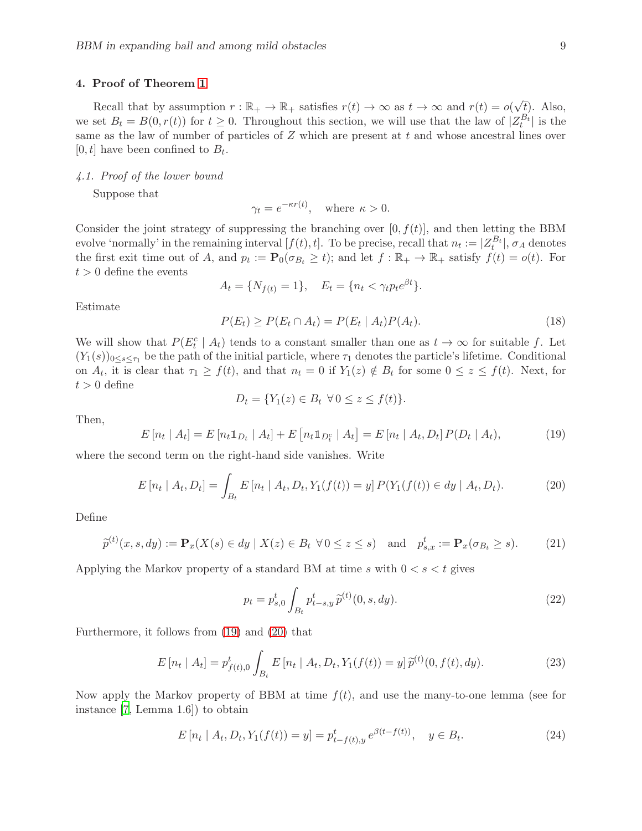# <span id="page-8-0"></span>4. Proof of Theorem [1](#page-4-0)

Recall that by assumption  $r : \mathbb{R}_+ \to \mathbb{R}_+$  satisfies  $r(t) \to \infty$  as  $t \to \infty$  and  $r(t) = o(\sqrt{\frac{t}{p}})$ . Also, we set  $B_t = B(0, r(t))$  for  $t \geq 0$ . Throughout this section, we will use that the law of  $|Z_t^{B_t}|$  is the same as the law of number of particles of  $Z$  which are present at  $t$  and whose ancestral lines over  $[0, t]$  have been confined to  $B_t$ .

4.1. Proof of the lower bound

Suppose that

$$
\gamma_t = e^{-\kappa r(t)}, \text{ where } \kappa > 0.
$$

Consider the joint strategy of suppressing the branching over  $[0, f(t)]$ , and then letting the BBM evolve 'normally' in the remaining interval  $[f(t), t]$ . To be precise, recall that  $n_t := |Z_t^{B_t}|$ ,  $\sigma_A$  denotes the first exit time out of A, and  $p_t := \mathbf{P}_0(\sigma_{B_t} \ge t)$ ; and let  $f : \mathbb{R}_+ \to \mathbb{R}_+$  satisfy  $f(t) = o(t)$ . For  $t > 0$  define the events

$$
A_t = \{ N_{f(t)} = 1 \}, \quad E_t = \{ n_t < \gamma_t p_t e^{\beta t} \}.
$$

Estimate

<span id="page-8-6"></span>
$$
P(E_t) \ge P(E_t \cap A_t) = P(E_t \mid A_t)P(A_t). \tag{18}
$$

We will show that  $P(E_t^c | A_t)$  tends to a constant smaller than one as  $t \to \infty$  for suitable f. Let  $(Y_1(s))_{0\leq s\leq \tau_1}$  be the path of the initial particle, where  $\tau_1$  denotes the particle's lifetime. Conditional on  $A_t$ , it is clear that  $\tau_1 \geq f(t)$ , and that  $n_t = 0$  if  $Y_1(z) \notin B_t$  for some  $0 \leq z \leq f(t)$ . Next, for  $t > 0$  define

$$
D_t = \{ Y_1(z) \in B_t \ \forall \, 0 \le z \le f(t) \}.
$$

Then,

<span id="page-8-1"></span>
$$
E[n_t | A_t] = E[n_t \mathbb{1}_{D_t} | A_t] + E[n_t \mathbb{1}_{D_t^c} | A_t] = E[n_t | A_t, D_t] P(D_t | A_t), \tag{19}
$$

where the second term on the right-hand side vanishes. Write

<span id="page-8-2"></span>
$$
E[n_t | A_t, D_t] = \int_{B_t} E[n_t | A_t, D_t, Y_1(f(t)) = y] P(Y_1(f(t)) \in dy | A_t, D_t).
$$
 (20)

Define

<span id="page-8-7"></span>
$$
\widetilde{p}^{(t)}(x,s,dy) := \mathbf{P}_x(X(s) \in dy \mid X(z) \in B_t \,\,\forall \, 0 \le z \le s) \quad \text{and} \quad p_{s,x}^t := \mathbf{P}_x(\sigma_{B_t} \ge s). \tag{21}
$$

Applying the Markov property of a standard BM at time s with  $0 < s < t$  gives

<span id="page-8-3"></span>
$$
p_t = p_{s,0}^t \int_{B_t} p_{t-s,y}^t \, \tilde{p}^{(t)}(0, s, dy). \tag{22}
$$

Furthermore, it follows from [\(19\)](#page-8-1) and [\(20\)](#page-8-2) that

<span id="page-8-4"></span>
$$
E\left[n_t \mid A_t\right] = p_{f(t),0}^t \int_{B_t} E\left[n_t \mid A_t, D_t, Y_1(f(t)) = y\right] \widetilde{p}^{(t)}(0, f(t), dy). \tag{23}
$$

Now apply the Markov property of BBM at time  $f(t)$ , and use the many-to-one lemma (see for instance [\[7,](#page-23-13) Lemma 1.6]) to obtain

<span id="page-8-5"></span>
$$
E\left[n_t \mid A_t, D_t, Y_1(f(t)) = y\right] = p_{t-f(t),y}^t e^{\beta(t-f(t))}, \quad y \in B_t.
$$
\n(24)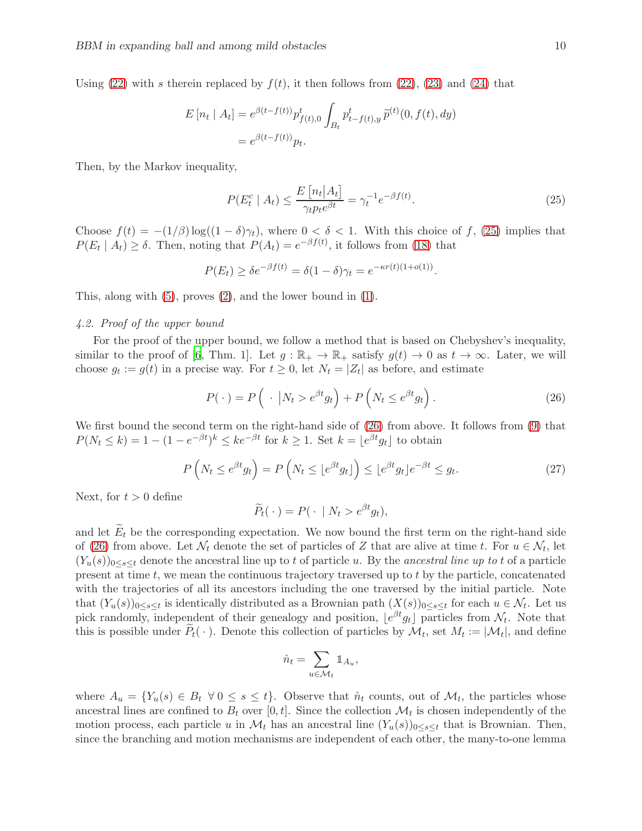Using [\(22\)](#page-8-3) with s therein replaced by  $f(t)$ , it then follows from (22), [\(23\)](#page-8-4) and [\(24\)](#page-8-5) that

$$
E[n_t | A_t] = e^{\beta(t - f(t))} p_{f(t),0}^t \int_{B_t} p_{t - f(t),y}^t \tilde{p}^{(t)}(0, f(t), dy)
$$
  
=  $e^{\beta(t - f(t))} p_t.$ 

Then, by the Markov inequality,

<span id="page-9-0"></span>
$$
P(E_t^c \mid A_t) \le \frac{E\left[n_t \mid A_t\right]}{\gamma_t p_t e^{\beta t}} = \gamma_t^{-1} e^{-\beta f(t)}.
$$
\n(25)

Choose  $f(t) = -(1/\beta) \log((1-\delta)\gamma_t)$ , where  $0 < \delta < 1$ . With this choice of f, [\(25\)](#page-9-0) implies that  $P(E_t | A_t) \ge \delta$ . Then, noting that  $P(A_t) = e^{-\beta f(t)}$ , it follows from [\(18\)](#page-8-6) that

$$
P(E_t) \ge \delta e^{-\beta f(t)} = \delta(1-\delta)\gamma_t = e^{-\kappa r(t)(1+o(1))}.
$$

This, along with [\(5\)](#page-4-4), proves [\(2\)](#page-4-5), and the lower bound in [\(1\)](#page-4-2).

### 4.2. Proof of the upper bound

For the proof of the upper bound, we follow a method that is based on Chebyshev's inequality, similar to the proof of [\[6,](#page-23-0) Thm. 1]. Let  $g : \mathbb{R}_+ \to \mathbb{R}_+$  satisfy  $g(t) \to 0$  as  $t \to \infty$ . Later, we will choose  $g_t := g(t)$  in a precise way. For  $t \geq 0$ , let  $N_t = |Z_t|$  as before, and estimate

<span id="page-9-1"></span>
$$
P(\cdot) = P\left(\cdot \left| N_t > e^{\beta t} g_t \right.\right) + P\left(N_t \le e^{\beta t} g_t\right). \tag{26}
$$

We first bound the second term on the right-hand side of  $(26)$  from above. It follows from  $(9)$  that  $P(N_t \le k) = 1 - (1 - e^{-\beta t})^k \le ke^{-\beta t}$  for  $k \ge 1$ . Set  $k = \lfloor e^{\beta t} g_t \rfloor$  to obtain

<span id="page-9-2"></span>
$$
P\left(N_t \le e^{\beta t} g_t\right) = P\left(N_t \le \lfloor e^{\beta t} g_t \rfloor\right) \le \lfloor e^{\beta t} g_t \rfloor e^{-\beta t} \le g_t. \tag{27}
$$

Next, for  $t > 0$  define

$$
\widetilde{P}_t(\cdot) = P(\cdot \mid N_t > e^{\beta t} g_t),
$$

and let  $E_t$  be the corresponding expectation. We now bound the first term on the right-hand side of [\(26\)](#page-9-1) from above. Let  $\mathcal{N}_t$  denote the set of particles of Z that are alive at time t. For  $u \in \mathcal{N}_t$ , let  $(Y_u(s))_{0\leq s\leq t}$  denote the ancestral line up to t of particle u. By the ancestral line up to t of a particle present at time  $t$ , we mean the continuous trajectory traversed up to  $t$  by the particle, concatenated with the trajectories of all its ancestors including the one traversed by the initial particle. Note that  $(Y_u(s))_{0\leq s\leq t}$  is identically distributed as a Brownian path  $(X(s))_{0\leq s\leq t}$  for each  $u \in \mathcal{N}_t$ . Let us pick randomly, independent of their genealogy and position,  $\lfloor e^{\beta t} g_t \rfloor$  particles from  $\mathcal{N}_t$ . Note that this is possible under  $P_t(\cdot)$ . Denote this collection of particles by  $\mathcal{M}_t$ , set  $M_t := |\mathcal{M}_t|$ , and define

$$
\hat{n}_t = \sum_{u \in \mathcal{M}_t} \mathbbm{1}_{A_u},
$$

where  $A_u = \{Y_u(s) \in B_t \ \forall \ 0 \le s \le t\}$ . Observe that  $\hat{n}_t$  counts, out of  $\mathcal{M}_t$ , the particles whose ancestral lines are confined to  $B_t$  over [0, t]. Since the collection  $\mathcal{M}_t$  is chosen independently of the motion process, each particle u in  $\mathcal{M}_t$  has an ancestral line  $(Y_u(s))_{0 \le s \le t}$  that is Brownian. Then, since the branching and motion mechanisms are independent of each other, the many-to-one lemma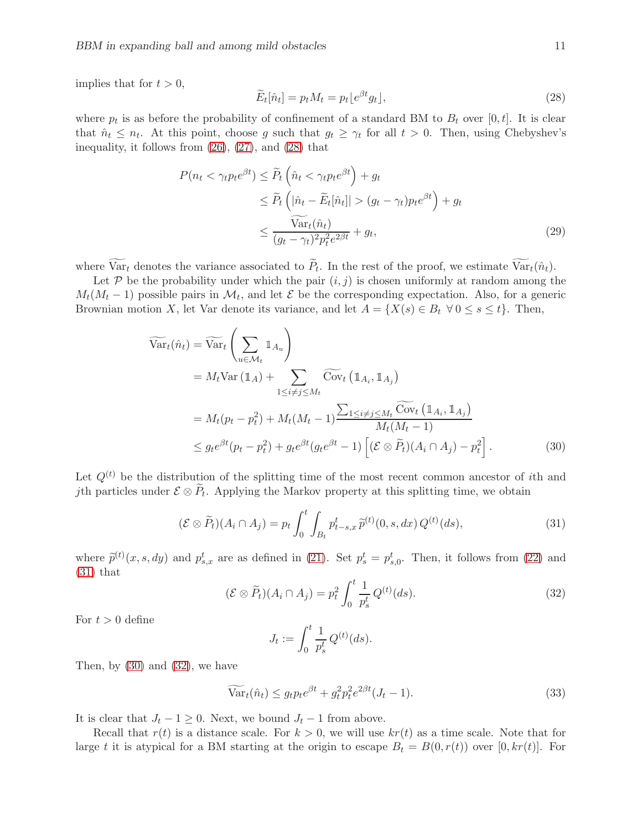implies that for  $t > 0$ ,

<span id="page-10-4"></span><span id="page-10-0"></span>
$$
\widetilde{E}_t[\hat{n}_t] = p_t M_t = p_t \lfloor e^{\beta t} g_t \rfloor, \tag{28}
$$

where  $p_t$  is as before the probability of confinement of a standard BM to  $B_t$  over [0, t]. It is clear that  $\hat{n}_t \leq n_t$ . At this point, choose g such that  $g_t \geq \gamma_t$  for all  $t > 0$ . Then, using Chebyshev's inequality, it follows from [\(26\)](#page-9-1), [\(27\)](#page-9-2), and [\(28\)](#page-10-0) that

$$
P(n_t < \gamma_t p_t e^{\beta t}) \le \widetilde{P}_t \left(\hat{n}_t < \gamma_t p_t e^{\beta t}\right) + g_t
$$
  
\n
$$
\le \widetilde{P}_t \left(|\hat{n}_t - \widetilde{E}_t|\hat{n}_t|| > (g_t - \gamma_t)p_t e^{\beta t}\right) + g_t
$$
  
\n
$$
\le \frac{\widetilde{\text{Var}}_t(\hat{n}_t)}{(g_t - \gamma_t)^2 p_t^2 e^{2\beta t}} + g_t,
$$
\n(29)

where  $Var_t$  denotes the variance associated to  $P_t$ . In the rest of the proof, we estimate  $Var_t(\hat{n}_t)$ .

Let  $P$  be the probability under which the pair  $(i, j)$  is chosen uniformly at random among the  $M_t(M_t-1)$  possible pairs in  $\mathcal{M}_t$ , and let  $\mathcal E$  be the corresponding expectation. Also, for a generic Brownian motion X, let Var denote its variance, and let  $A = \{X(s) \in B_t \ \forall 0 \le s \le t\}$ . Then,

$$
\widetilde{\text{Var}}_t(\hat{n}_t) = \widetilde{\text{Var}}_t \left( \sum_{u \in \mathcal{M}_t} \mathbb{1}_{A_u} \right)
$$
\n
$$
= M_t \text{Var} \left( \mathbb{1}_A \right) + \sum_{1 \le i \ne j \le M_t} \widetilde{\text{Cov}}_t \left( \mathbb{1}_{A_i}, \mathbb{1}_{A_j} \right)
$$
\n
$$
= M_t (p_t - p_t^2) + M_t (M_t - 1) \frac{\sum_{1 \le i \ne j \le M_t} \widetilde{\text{Cov}}_t \left( \mathbb{1}_{A_i}, \mathbb{1}_{A_j} \right)}{M_t (M_t - 1)}
$$
\n
$$
\le g_t e^{\beta t} (p_t - p_t^2) + g_t e^{\beta t} (g_t e^{\beta t} - 1) \left[ (\mathcal{E} \otimes \widetilde{P}_t)(A_i \cap A_j) - p_t^2 \right]. \tag{30}
$$

Let  $Q^{(t)}$  be the distribution of the splitting time of the most recent common ancestor of *i*th and jth particles under  $\mathcal{E} \otimes P_t$ . Applying the Markov property at this splitting time, we obtain

<span id="page-10-1"></span>
$$
(\mathcal{E} \otimes \widetilde{P}_t)(A_i \cap A_j) = p_t \int_0^t \int_{B_t} p_{t-s,x}^t \widetilde{p}^{(t)}(0, s, dx) Q^{(t)}(ds), \tag{31}
$$

where  $\tilde{p}^{(t)}(x, s, dy)$  and  $p_{s,x}^t$  are as defined in [\(21\)](#page-8-7). Set  $p_s^t = p_{s,0}^t$ . Then, it follows from [\(22\)](#page-8-3) and [\(31\)](#page-10-1) that

<span id="page-10-3"></span>
$$
(\mathcal{E} \otimes \widetilde{P}_t)(A_i \cap A_j) = p_t^2 \int_0^t \frac{1}{p_s^t} Q^{(t)}(ds). \tag{32}
$$

For  $t > 0$  define

<span id="page-10-2"></span>
$$
J_t := \int_0^t \frac{1}{p_s^t} Q^{(t)}(ds).
$$

Then, by  $(30)$  and  $(32)$ , we have

<span id="page-10-5"></span>
$$
\widetilde{\text{Var}}_t(\hat{n}_t) \le g_t p_t e^{\beta t} + g_t^2 p_t^2 e^{2\beta t} (J_t - 1). \tag{33}
$$

It is clear that  $J_t - 1 \ge 0$ . Next, we bound  $J_t - 1$  from above.

Recall that  $r(t)$  is a distance scale. For  $k > 0$ , we will use  $kr(t)$  as a time scale. Note that for large t it is atypical for a BM starting at the origin to escape  $B_t = B(0, r(t))$  over  $[0, kr(t)]$ . For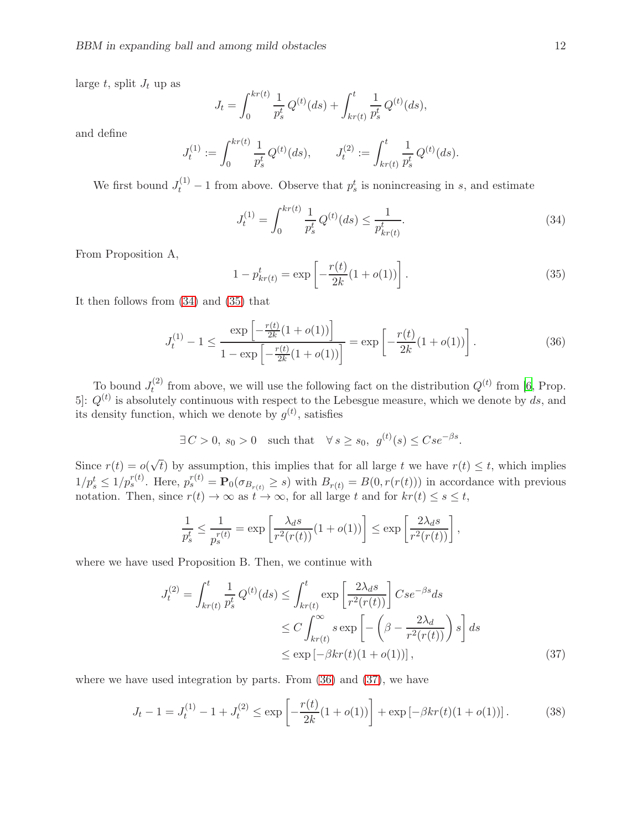large  $t$ , split  $J_t$  up as

$$
J_t = \int_0^{kr(t)} \frac{1}{p_s^t} Q^{(t)}(ds) + \int_{kr(t)}^t \frac{1}{p_s^t} Q^{(t)}(ds),
$$

and define

$$
J_t^{(1)} := \int_0^{kr(t)} \frac{1}{p_s^t} Q^{(t)}(ds), \qquad J_t^{(2)} := \int_{kr(t)}^t \frac{1}{p_s^t} Q^{(t)}(ds).
$$

We first bound  $J_t^{(1)} - 1$  from above. Observe that  $p_s^t$  is nonincreasing in s, and estimate

<span id="page-11-0"></span>
$$
J_t^{(1)} = \int_0^{kr(t)} \frac{1}{p_s^t} Q^{(t)}(ds) \le \frac{1}{p_{kr(t)}^t}.
$$
\n(34)

From Proposition A,

<span id="page-11-1"></span>
$$
1 - p_{kr(t)}^t = \exp\left[-\frac{r(t)}{2k}(1 + o(1))\right].
$$
\n(35)

It then follows from [\(34\)](#page-11-0) and [\(35\)](#page-11-1) that

<span id="page-11-2"></span>
$$
J_t^{(1)} - 1 \le \frac{\exp\left[-\frac{r(t)}{2k}(1 + o(1))\right]}{1 - \exp\left[-\frac{r(t)}{2k}(1 + o(1))\right]} = \exp\left[-\frac{r(t)}{2k}(1 + o(1))\right].
$$
 (36)

To bound  $J_t^{(2)}$  $t^{(2)}$  from above, we will use the following fact on the distribution  $Q^{(t)}$  from [\[6](#page-23-0), Prop. 5.  $Q^{(t)}$  is absolutely continuous with respect to the Lebesgue measure, which we denote by ds, and its density function, which we denote by  $g^{(t)}$ , satisfies

$$
\exists C > 0, s_0 > 0 \quad \text{such that} \quad \forall s \ge s_0, \ g^{(t)}(s) \le Cse^{-\beta s}.
$$

Since  $r(t) = o(\sqrt{t})$  by assumption, this implies that for all large t we have  $r(t) \leq t$ , which implies  $1/p_s^t \leq 1/p_s^{r(t)}$ . Here,  $p_s^{r(t)} = \mathbf{P}_0(\sigma_{B_{r(t)}} \geq s)$  with  $B_{r(t)} = B(0, r(r(t)))$  in accordance with previous notation. Then, since  $r(t) \to \infty$  as  $t \to \infty$ , for all large t and for  $kr(t) \leq s \leq t$ ,

<span id="page-11-3"></span>
$$
\frac{1}{p_s^t} \le \frac{1}{p_s^{r(t)}} = \exp\left[\frac{\lambda_d s}{r^2(r(t))}(1+o(1))\right] \le \exp\left[\frac{2\lambda_d s}{r^2(r(t))}\right],
$$

where we have used Proposition B. Then, we continue with

$$
J_t^{(2)} = \int_{kr(t)}^t \frac{1}{p_s^t} Q^{(t)}(ds) \le \int_{kr(t)}^t \exp\left[\frac{2\lambda_d s}{r^2(r(t))}\right] Cse^{-\beta s} ds
$$
  

$$
\le C \int_{kr(t)}^{\infty} s \exp\left[-\left(\beta - \frac{2\lambda_d}{r^2(r(t))}\right)s\right] ds
$$
  

$$
\le \exp\left[-\beta kr(t)(1+o(1))\right],
$$
 (37)

where we have used integration by parts. From  $(36)$  and  $(37)$ , we have

<span id="page-11-4"></span>
$$
J_t - 1 = J_t^{(1)} - 1 + J_t^{(2)} \le \exp\left[-\frac{r(t)}{2k}(1 + o(1))\right] + \exp\left[-\beta kr(t)(1 + o(1))\right].\tag{38}
$$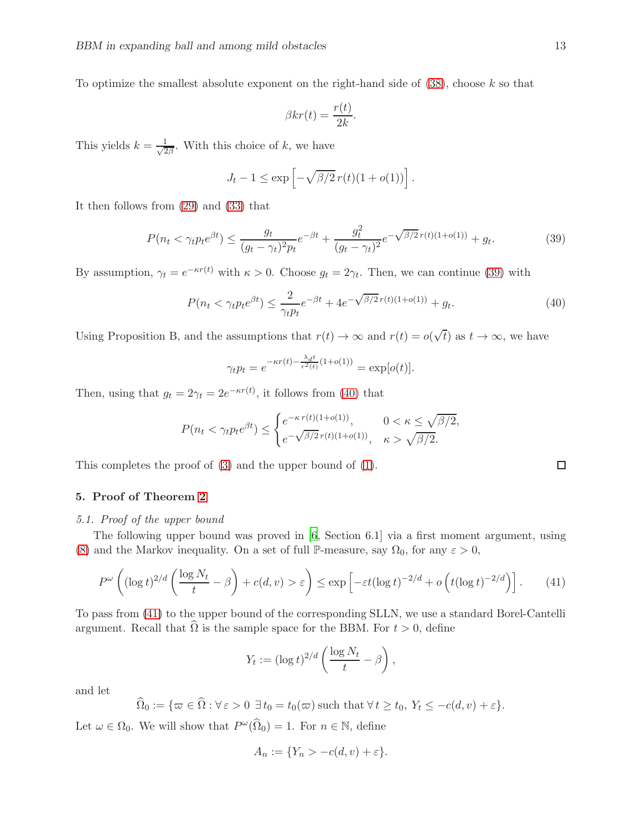To optimize the smallest absolute exponent on the right-hand side of  $(38)$ , choose k so that

$$
\beta kr(t) = \frac{r(t)}{2k}.
$$

This yields  $k = \frac{1}{\sqrt{2}}$  $\frac{1}{2\beta}$ . With this choice of k, we have

$$
J_t - 1 \le \exp\left[-\sqrt{\beta/2} \, r(t) (1 + o(1))\right].
$$

It then follows from [\(29\)](#page-10-4) and [\(33\)](#page-10-5) that

<span id="page-12-1"></span>
$$
P(n_t < \gamma_t p_t e^{\beta t}) \le \frac{g_t}{(g_t - \gamma_t)^2 p_t} e^{-\beta t} + \frac{g_t^2}{(g_t - \gamma_t)^2} e^{-\sqrt{\beta/2} r(t)(1 + o(1))} + g_t.
$$
 (39)

By assumption,  $\gamma_t = e^{-\kappa r(t)}$  with  $\kappa > 0$ . Choose  $g_t = 2\gamma_t$ . Then, we can continue [\(39\)](#page-12-1) with

<span id="page-12-2"></span>
$$
P(n_t < \gamma_t p_t e^{\beta t}) \le \frac{2}{\gamma_t p_t} e^{-\beta t} + 4e^{-\sqrt{\beta/2}r(t)(1+o(1))} + g_t.
$$
\n(40)

Using Proposition B, and the assumptions that  $r(t) \to \infty$  and  $r(t) = o(\sqrt{t})$  as  $t \to \infty$ , we have

$$
\gamma_t p_t = e^{-\kappa r(t) - \frac{\lambda_d t}{r^2(t)}(1 + o(1))} = \exp[o(t)].
$$

Then, using that  $g_t = 2\gamma_t = 2e^{-\kappa r(t)}$ , it follows from [\(40\)](#page-12-2) that

$$
P(n_t < \gamma_t p_t e^{\beta t}) \le \begin{cases} e^{-\kappa r(t)(1+o(1))}, & 0 < \kappa \le \sqrt{\beta/2}, \\ e^{-\sqrt{\beta/2}r(t)(1+o(1))}, & \kappa > \sqrt{\beta/2}. \end{cases}
$$

This completes the proof of [\(3\)](#page-4-3) and the upper bound of [\(1\)](#page-4-2).

# <span id="page-12-0"></span>5. Proof of Theorem [2](#page-5-0)

# 5.1. Proof of the upper bound

The following upper bound was proved in [\[6,](#page-23-0) Section 6.1] via a first moment argument, using [\(8\)](#page-5-3) and the Markov inequality. On a set of full P-measure, say  $\Omega_0$ , for any  $\varepsilon > 0$ ,

<span id="page-12-3"></span>
$$
P^{\omega}\left((\log t)^{2/d}\left(\frac{\log N_t}{t} - \beta\right) + c(d, v) > \varepsilon\right) \le \exp\left[-\varepsilon t(\log t)^{-2/d} + o\left(t(\log t)^{-2/d}\right)\right].\tag{41}
$$

To pass from [\(41\)](#page-12-3) to the upper bound of the corresponding SLLN, we use a standard Borel-Cantelli argument. Recall that  $\Omega$  is the sample space for the BBM. For  $t > 0$ , define

$$
Y_t := (\log t)^{2/d} \left( \frac{\log N_t}{t} - \beta \right),
$$

and let

$$
\widehat{\Omega}_0 := \{ \varpi \in \widehat{\Omega} : \forall \, \varepsilon > 0 \, \exists \, t_0 = t_0(\varpi) \text{ such that } \forall \, t \ge t_0, \, Y_t \le -c(d, v) + \varepsilon \}.
$$

Let  $\omega \in \Omega_0$ . We will show that  $P^{\omega}(\widehat{\Omega}_0) = 1$ . For  $n \in \mathbb{N}$ , define

$$
A_n := \{ Y_n > -c(d, v) + \varepsilon \}.
$$

 $\Box$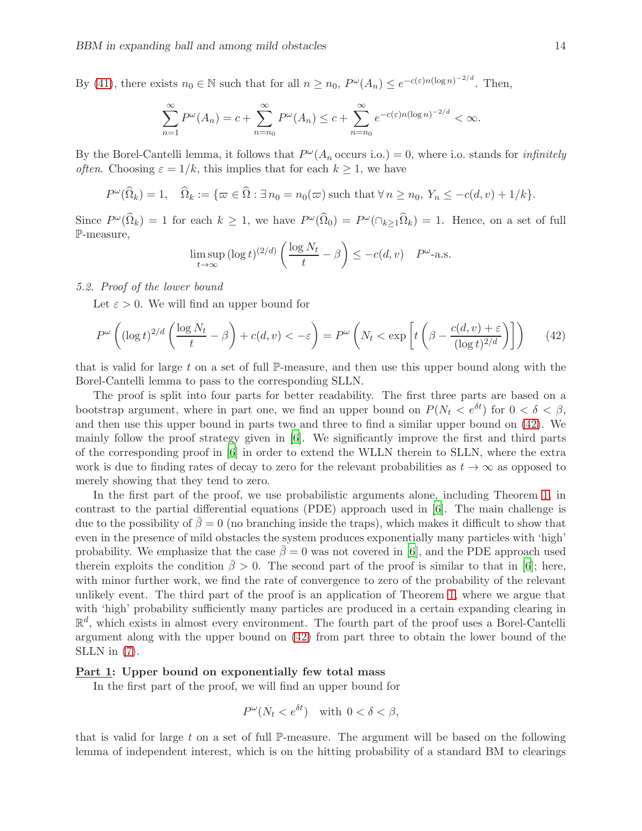By [\(41\)](#page-12-3), there exists  $n_0 \in \mathbb{N}$  such that for all  $n \ge n_0$ ,  $P^{\omega}(A_n) \le e^{-c(\varepsilon)n(\log n)^{-2/d}}$ . Then,

$$
\sum_{n=1}^{\infty} P^{\omega}(A_n) = c + \sum_{n=n_0}^{\infty} P^{\omega}(A_n) \le c + \sum_{n=n_0}^{\infty} e^{-c(\varepsilon)n(\log n)^{-2/d}} < \infty.
$$

By the Borel-Cantelli lemma, it follows that  $P^{\omega}(A_n)$  occurs i.o.) = 0, where i.o. stands for *infinitely* often. Choosing  $\varepsilon = 1/k$ , this implies that for each  $k \geq 1$ , we have

$$
P^{\omega}(\widehat{\Omega}_k) = 1, \quad \widehat{\Omega}_k := \{ \varpi \in \widehat{\Omega} : \exists n_0 = n_0(\varpi) \text{ such that } \forall n \ge n_0, Y_n \le -c(d, v) + 1/k \}.
$$

Since  $P^{\omega}(\hat{\Omega}_k) = 1$  for each  $k \geq 1$ , we have  $P^{\omega}(\hat{\Omega}_0) = P^{\omega}(\cap_{k \geq 1} \hat{\Omega}_k) = 1$ . Hence, on a set of full P-measure,

$$
\limsup_{t \to \infty} (\log t)^{(2/d)} \left( \frac{\log N_t}{t} - \beta \right) \le -c(d, v) \quad P^{\omega_{\text{-a.s.}}}
$$

### 5.2. Proof of the lower bound

Let  $\varepsilon > 0$ . We will find an upper bound for

<span id="page-13-0"></span>
$$
P^{\omega}\left((\log t)^{2/d}\left(\frac{\log N_t}{t} - \beta\right) + c(d, v) < -\varepsilon\right) = P^{\omega}\left(N_t < \exp\left[t\left(\beta - \frac{c(d, v) + \varepsilon}{(\log t)^{2/d}}\right)\right]\right) \tag{42}
$$

that is valid for large t on a set of full  $\mathbb{P}$ -measure, and then use this upper bound along with the Borel-Cantelli lemma to pass to the corresponding SLLN.

The proof is split into four parts for better readability. The first three parts are based on a bootstrap argument, where in part one, we find an upper bound on  $P(N_t < e^{\delta t})$  for  $0 < \delta < \beta$ , and then use this upper bound in parts two and three to find a similar upper bound on [\(42\)](#page-13-0). We mainly follow the proof strategy given in [\[6\]](#page-23-0). We significantly improve the first and third parts of the corresponding proof in [\[6](#page-23-0)] in order to extend the WLLN therein to SLLN, where the extra work is due to finding rates of decay to zero for the relevant probabilities as  $t \to \infty$  as opposed to merely showing that they tend to zero.

In the first part of the proof, we use probabilistic arguments alone, including Theorem [1,](#page-4-0) in contrast to the partial differential equations (PDE) approach used in [\[6\]](#page-23-0). The main challenge is due to the possibility of  $\beta = 0$  (no branching inside the traps), which makes it difficult to show that even in the presence of mild obstacles the system produces exponentially many particles with 'high' probability. We emphasize that the case  $\beta = 0$  was not covered in [\[6](#page-23-0)], and the PDE approach used therein exploits the condition  $\bar{\beta} > 0$ . The second part of the proof is similar to that in [\[6\]](#page-23-0); here, with minor further work, we find the rate of convergence to zero of the probability of the relevant unlikely event. The third part of the proof is an application of Theorem [1,](#page-4-0) where we argue that with 'high' probability sufficiently many particles are produced in a certain expanding clearing in  $\mathbb{R}^d$ , which exists in almost every environment. The fourth part of the proof uses a Borel-Cantelli argument along with the upper bound on [\(42\)](#page-13-0) from part three to obtain the lower bound of the SLLN in [\(7\)](#page-5-4).

### Part 1: Upper bound on exponentially few total mass

In the first part of the proof, we will find an upper bound for

$$
P^{\omega}(N_t < e^{\delta t}) \quad \text{with } 0 < \delta < \beta,
$$

that is valid for large  $t$  on a set of full P-measure. The argument will be based on the following lemma of independent interest, which is on the hitting probability of a standard BM to clearings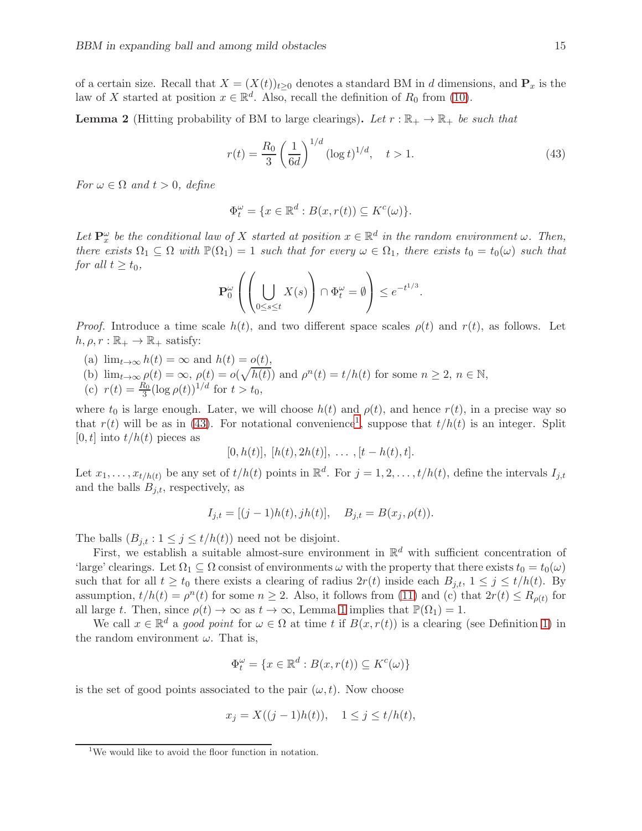of a certain size. Recall that  $X = (X(t))_{t\geq 0}$  denotes a standard BM in d dimensions, and  $P_x$  is the law of X started at position  $x \in \mathbb{R}^d$ . Also, recall the definition of  $R_0$  from [\(10\)](#page-6-4).

<span id="page-14-2"></span>**Lemma 2** (Hitting probability of BM to large clearings). Let  $r : \mathbb{R}_+ \to \mathbb{R}_+$  be such that

<span id="page-14-0"></span>
$$
r(t) = \frac{R_0}{3} \left(\frac{1}{6d}\right)^{1/d} (\log t)^{1/d}, \quad t > 1.
$$
 (43)

For  $\omega \in \Omega$  and  $t > 0$ , define

$$
\Phi_t^{\omega} = \{ x \in \mathbb{R}^d : B(x, r(t)) \subseteq K^c(\omega) \}.
$$

Let  $\mathbf{P}_x^{\omega}$  be the conditional law of X started at position  $x \in \mathbb{R}^d$  in the random environment  $\omega$ . Then, there exists  $\Omega_1 \subseteq \Omega$  with  $\mathbb{P}(\Omega_1) = 1$  such that for every  $\omega \in \Omega_1$ , there exists  $t_0 = t_0(\omega)$  such that for all  $t \geq t_0$ ,

$$
\mathbf{P}_0^{\omega} \left( \left( \bigcup_{0 \le s \le t} X(s) \right) \cap \Phi_t^{\omega} = \emptyset \right) \le e^{-t^{1/3}}.
$$

*Proof.* Introduce a time scale  $h(t)$ , and two different space scales  $\rho(t)$  and  $r(t)$ , as follows. Let  $h, \rho, r : \mathbb{R}_+ \to \mathbb{R}_+$  satisfy:

- (a)  $\lim_{t\to\infty} h(t) = \infty$  and  $h(t) = o(t)$ ,
- (b)  $\lim_{t\to\infty}\rho(t)=\infty, \ \rho(t)=o(\sqrt{h(t)})$  and  $\rho^n(t)=t/h(t)$  for some  $n\geq 2, \ n\in\mathbb{N},$
- (c)  $r(t) = \frac{R_0}{3} (\log \rho(t))^{1/d}$  for  $t > t_0$ ,

where  $t_0$  is large enough. Later, we will choose  $h(t)$  and  $\rho(t)$ , and hence  $r(t)$ , in a precise way so that  $r(t)$  will be as in [\(43\)](#page-14-0). For notational convenience<sup>[1](#page-14-1)</sup>, suppose that  $t/h(t)$  is an integer. Split  $[0, t]$  into  $t/h(t)$  pieces as

$$
[0,h(t)], [h(t), 2h(t)], \ldots, [t-h(t),t].
$$

Let  $x_1, \ldots, x_{t/h(t)}$  be any set of  $t/h(t)$  points in  $\mathbb{R}^d$ . For  $j = 1, 2, \ldots, t/h(t)$ , define the intervals  $I_{j,t}$ and the balls  $B_{j,t}$ , respectively, as

$$
I_{j,t} = [(j-1)h(t), jh(t)], B_{j,t} = B(x_j, \rho(t)).
$$

The balls  $(B_{j,t}: 1 \leq j \leq t/h(t))$  need not be disjoint.

First, we establish a suitable almost-sure environment in  $\mathbb{R}^d$  with sufficient concentration of 'large' clearings. Let  $\Omega_1 \subseteq \Omega$  consist of environments  $\omega$  with the property that there exists  $t_0 = t_0(\omega)$ such that for all  $t \ge t_0$  there exists a clearing of radius  $2r(t)$  inside each  $B_{j,t}$ ,  $1 \le j \le t/h(t)$ . By assumption,  $t/h(t) = \rho^n(t)$  for some  $n \geq 2$ . Also, it follows from [\(11\)](#page-6-1) and (c) that  $2r(t) \leq R_{\rho(t)}$  for all large t. Then, since  $\rho(t) \to \infty$  as  $t \to \infty$ , Lemma [1](#page-6-5) implies that  $\mathbb{P}(\Omega_1) = 1$ .

We call  $x \in \mathbb{R}^d$  a good point for  $\omega \in \Omega$  at time t if  $B(x, r(t))$  is a clearing (see Definition [1\)](#page-6-0) in the random environment  $\omega$ . That is,

$$
\Phi_t^{\omega} = \{ x \in \mathbb{R}^d : B(x, r(t)) \subseteq K^c(\omega) \}
$$

is the set of good points associated to the pair  $(\omega, t)$ . Now choose

$$
x_j = X((j-1)h(t)), \quad 1 \le j \le t/h(t),
$$

<span id="page-14-1"></span><sup>&</sup>lt;sup>1</sup>We would like to avoid the floor function in notation.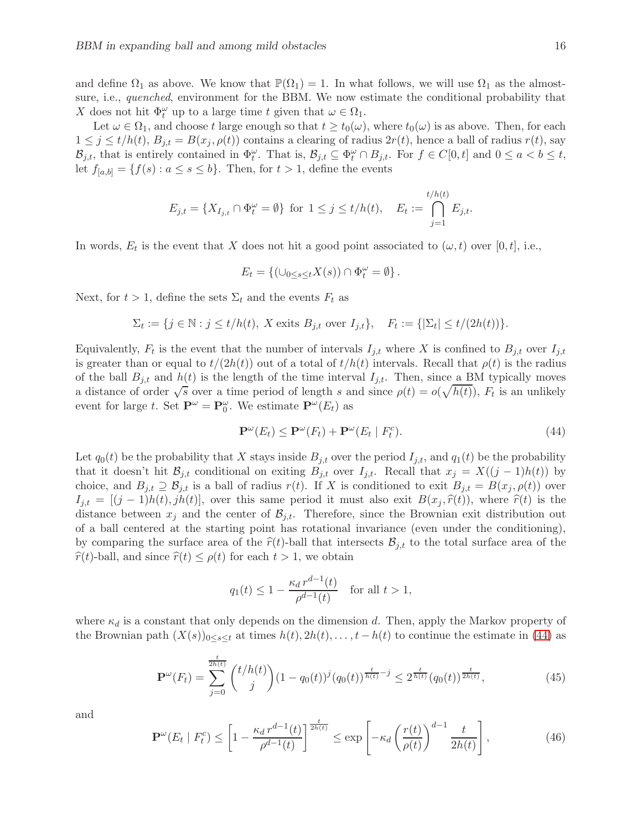and define  $\Omega_1$  as above. We know that  $\mathbb{P}(\Omega_1) = 1$ . In what follows, we will use  $\Omega_1$  as the almostsure, i.e., *quenched*, environment for the BBM. We now estimate the conditional probability that X does not hit  $\Phi_t^{\omega}$  up to a large time t given that  $\omega \in \Omega_1$ .

Let  $\omega \in \Omega_1$ , and choose t large enough so that  $t \geq t_0(\omega)$ , where  $t_0(\omega)$  is as above. Then, for each  $1 \leq j \leq t/h(t), B_{j,t} = B(x_j, \rho(t))$  contains a clearing of radius  $2r(t)$ , hence a ball of radius  $r(t)$ , say  $\mathcal{B}_{j,t}$ , that is entirely contained in  $\Phi_t^{\omega}$ . That is,  $\mathcal{B}_{j,t} \subseteq \Phi_t^{\omega} \cap B_{j,t}$ . For  $f \in C[0,t]$  and  $0 \le a < b \le t$ , let  $f_{[a,b]} = \{f(s) : a \le s \le b\}$ . Then, for  $t > 1$ , define the events

$$
E_{j,t} = \{X_{I_{j,t}} \cap \Phi_t^{\omega} = \emptyset\} \text{ for } 1 \le j \le t/h(t), \quad E_t := \bigcap_{j=1}^{t/h(t)} E_{j,t}.
$$

In words,  $E_t$  is the event that X does not hit a good point associated to  $(\omega, t)$  over [0, t], i.e.,

$$
E_t = \{ (\cup_{0 \le s \le t} X(s)) \cap \Phi_t^{\omega} = \emptyset \}.
$$

Next, for  $t > 1$ , define the sets  $\Sigma_t$  and the events  $F_t$  as

$$
\Sigma_t := \{ j \in \mathbb{N} : j \le t/h(t), \ X \text{ exits } B_{j,t} \text{ over } I_{j,t} \}, \quad F_t := \{ |\Sigma_t| \le t/(2h(t)) \}.
$$

Equivalently,  $F_t$  is the event that the number of intervals  $I_{j,t}$  where X is confined to  $B_{j,t}$  over  $I_{j,t}$ is greater than or equal to  $t/(2h(t))$  out of a total of  $t/h(t)$  intervals. Recall that  $\rho(t)$  is the radius of the ball  $B_{i,t}$  and  $h(t)$  is the length of the time interval  $I_{i,t}$ . Then, since a BM typically moves a distance of order  $\sqrt{s}$  over a time period of length s and since  $\rho(t) = o(\sqrt{h(t)})$ ,  $F_t$  is an unlikely event for large t. Set  $\mathbf{P}^{\omega} = \mathbf{P}_0^{\omega}$ . We estimate  $\mathbf{P}^{\omega}(E_t)$  as

<span id="page-15-0"></span>
$$
\mathbf{P}^{\omega}(E_t) \le \mathbf{P}^{\omega}(F_t) + \mathbf{P}^{\omega}(E_t \mid F_t^c). \tag{44}
$$

Let  $q_0(t)$  be the probability that X stays inside  $B_{j,t}$  over the period  $I_{j,t}$ , and  $q_1(t)$  be the probability that it doesn't hit  $\mathcal{B}_{j,t}$  conditional on exiting  $B_{j,t}$  over  $I_{j,t}$ . Recall that  $x_j = X((j-1)h(t))$  by choice, and  $B_{j,t} \supseteq \mathcal{B}_{j,t}$  is a ball of radius  $r(t)$ . If X is conditioned to exit  $B_{j,t} = B(x_j, \rho(t))$  over  $I_{j,t} = [(j-1)h(t), jh(t)],$  over this same period it must also exit  $B(x_j, \hat{r}(t))$ , where  $\hat{r}(t)$  is the distance between  $x_j$  and the center of  $\mathcal{B}_{j,t}$ . Therefore, since the Brownian exit distribution out of a ball centered at the starting point has rotational invariance (even under the conditioning), by comparing the surface area of the  $\hat{r}(t)$ -ball that intersects  $B_{j,t}$  to the total surface area of the  $\hat{r}(t)$ -ball, and since  $\hat{r}(t) \leq \rho(t)$  for each  $t > 1$ , we obtain

$$
q_1(t) \le 1 - \frac{\kappa_d r^{d-1}(t)}{\rho^{d-1}(t)}
$$
 for all  $t > 1$ ,

where  $\kappa_d$  is a constant that only depends on the dimension d. Then, apply the Markov property of the Brownian path  $(X(s))_{0\leq s\leq t}$  at times  $h(t), 2h(t), \ldots, t-h(t)$  to continue the estimate in [\(44\)](#page-15-0) as

<span id="page-15-1"></span>
$$
\mathbf{P}^{\omega}(F_t) = \sum_{j=0}^{\frac{t}{2h(t)}} \binom{t/h(t)}{j} (1 - q_0(t))^j (q_0(t))^{\frac{t}{h(t)}}^{-j} \le 2^{\frac{t}{h(t)}} (q_0(t))^{\frac{t}{2h(t)}},\tag{45}
$$

and

<span id="page-15-2"></span>
$$
\mathbf{P}^{\omega}(E_t \mid F_t^c) \le \left[1 - \frac{\kappa_d \, r^{d-1}(t)}{\rho^{d-1}(t)}\right]^{\frac{t}{2h(t)}} \le \exp\left[-\kappa_d \left(\frac{r(t)}{\rho(t)}\right)^{d-1} \frac{t}{2h(t)}\right],\tag{46}
$$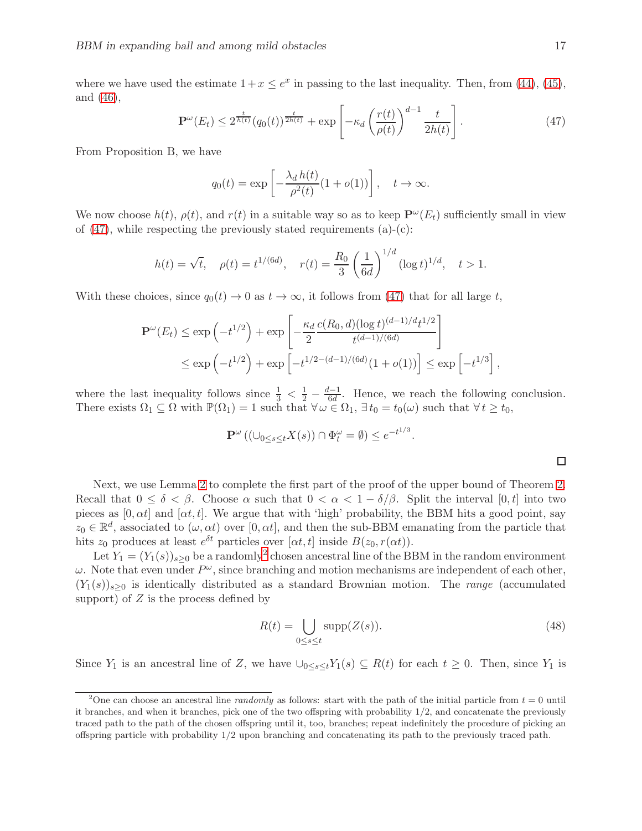where we have used the estimate  $1+x \leq e^x$  in passing to the last inequality. Then, from [\(44\)](#page-15-0), [\(45\)](#page-15-1), and [\(46\)](#page-15-2),

<span id="page-16-0"></span>
$$
\mathbf{P}^{\omega}(E_t) \le 2^{\frac{t}{h(t)}} (q_0(t))^{\frac{t}{2h(t)}} + \exp\left[-\kappa_d \left(\frac{r(t)}{\rho(t)}\right)^{d-1} \frac{t}{2h(t)}\right].\tag{47}
$$

From Proposition B, we have

$$
q_0(t) = \exp\left[-\frac{\lambda_d h(t)}{\rho^2(t)}(1 + o(1))\right], \quad t \to \infty.
$$

We now choose  $h(t)$ ,  $\rho(t)$ , and  $r(t)$  in a suitable way so as to keep  $\mathbf{P}^{\omega}(E_t)$  sufficiently small in view of  $(47)$ , while respecting the previously stated requirements  $(a)-(c)$ :

$$
h(t) = \sqrt{t}, \quad \rho(t) = t^{1/(6d)}, \quad r(t) = \frac{R_0}{3} \left(\frac{1}{6d}\right)^{1/d} (\log t)^{1/d}, \quad t > 1.
$$

With these choices, since  $q_0(t) \to 0$  as  $t \to \infty$ , it follows from [\(47\)](#page-16-0) that for all large t,

$$
\mathbf{P}^{\omega}(E_t) \le \exp\left(-t^{1/2}\right) + \exp\left[-\frac{\kappa_d}{2} \frac{c(R_0, d)(\log t)^{(d-1)/d} t^{1/2}}{t^{(d-1)/(6d)}}\right]
$$
  

$$
\le \exp\left(-t^{1/2}\right) + \exp\left[-t^{1/2 - (d-1)/(6d)}(1 + o(1))\right] \le \exp\left[-t^{1/3}\right]
$$

where the last inequality follows since  $\frac{1}{3} < \frac{1}{2} - \frac{d-1}{6d}$ . Hence, we reach the following conclusion. There exists  $\Omega_1 \subseteq \Omega$  with  $\mathbb{P}(\Omega_1) = 1$  such that  $\forall \omega \in \Omega_1$ ,  $\exists t_0 = t_0(\omega)$  such that  $\forall t \geq t_0$ ,

$$
\mathbf{P}^{\omega}\left((\cup_{0\leq s\leq t}X(s))\cap\Phi_t^{\omega}=\emptyset\right)\leq e^{-t^{1/3}}
$$

,

Next, we use Lemma [2](#page-14-2) to complete the first part of the proof of the upper bound of Theorem [2.](#page-5-0) Recall that  $0 \le \delta \le \beta$ . Choose  $\alpha$  such that  $0 \le \alpha \le 1 - \delta/\beta$ . Split the interval  $[0, t]$  into two pieces as  $[0, \alpha t]$  and  $[\alpha t, t]$ . We argue that with 'high' probability, the BBM hits a good point, say  $z_0 \in \mathbb{R}^d$ , associated to  $(\omega, \alpha t)$  over  $[0, \alpha t]$ , and then the sub-BBM emanating from the particle that hits  $z_0$  produces at least  $e^{\delta t}$  particles over  $[\alpha t, t]$  inside  $B(z_0, r(\alpha t))$ .

Let  $Y_1 = (Y_1(s))_{s \geq 0}$  be a randomly<sup>[2](#page-16-1)</sup> chosen ancestral line of the BBM in the random environment  $\omega$ . Note that even under  $P^{\omega}$ , since branching and motion mechanisms are independent of each other,  $(Y_1(s))_{s>0}$  is identically distributed as a standard Brownian motion. The range (accumulated support) of  $Z$  is the process defined by

<span id="page-16-2"></span>
$$
R(t) = \bigcup_{0 \le s \le t} \text{supp}(Z(s)).
$$
\n(48)

.

Since Y<sub>1</sub> is an ancestral line of Z, we have  $\bigcup_{0 \leq s \leq t} Y_1(s) \subseteq R(t)$  for each  $t \geq 0$ . Then, since Y<sub>1</sub> is

<span id="page-16-1"></span><sup>&</sup>lt;sup>2</sup>One can choose an ancestral line *randomly* as follows: start with the path of the initial particle from  $t = 0$  until it branches, and when it branches, pick one of the two offspring with probability 1/2, and concatenate the previously traced path to the path of the chosen offspring until it, too, branches; repeat indefinitely the procedure of picking an offspring particle with probability 1/2 upon branching and concatenating its path to the previously traced path.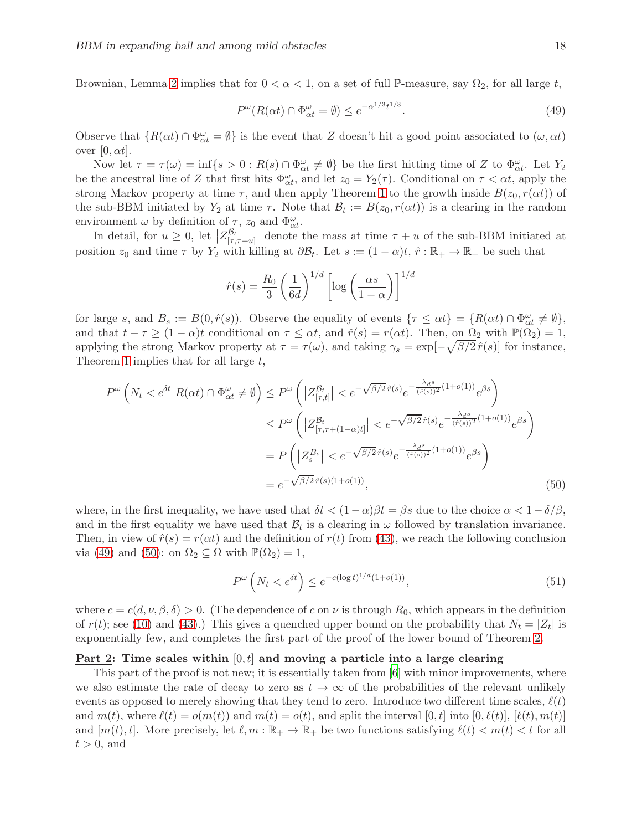Brownian, Lemma [2](#page-14-2) implies that for  $0 < \alpha < 1$ , on a set of full P-measure, say  $\Omega_2$ , for all large t,

<span id="page-17-0"></span>
$$
P^{\omega}(R(\alpha t) \cap \Phi^{\omega}_{\alpha t} = \emptyset) \le e^{-\alpha^{1/3}t^{1/3}}.
$$
\n(49)

Observe that  $\{R(\alpha t) \cap \Phi^\omega_{\alpha t} = \emptyset\}$  is the event that Z doesn't hit a good point associated to  $(\omega, \alpha t)$ over  $[0, \alpha t]$ .

Now let  $\tau = \tau(\omega) = \inf\{s > 0 : R(s) \cap \Phi_{\alpha t}^{\omega} \neq \emptyset\}$  be the first hitting time of Z to  $\Phi_{\alpha t}^{\omega}$ . Let  $Y_2$ be the ancestral line of Z that first hits  $\Phi_{\alpha t}^{\omega}$ , and let  $z_0 = Y_2(\tau)$ . Conditional on  $\tau < \alpha t$ , apply the strong Markov property at time  $\tau$ , and then apply Theorem [1](#page-4-0) to the growth inside  $B(z_0, r(\alpha t))$  of the sub-BBM initiated by  $Y_2$  at time  $\tau$ . Note that  $\mathcal{B}_t := B(z_0, r(\alpha t))$  is a clearing in the random environment  $\omega$  by definition of  $\tau$ ,  $z_0$  and  $\Phi_{\alpha t}^{\omega}$ .

In detail, for  $u \geq 0$ , let  $\left|Z_{[\tau,\tau+u]}^{\mathcal{B}_t}\right|$  denote the mass at time  $\tau+u$  of the sub-BBM initiated at position  $z_0$  and time  $\tau$  by  $Y_2$  with killing at  $\partial \mathcal{B}_t$ . Let  $s := (1 - \alpha)t, \hat{r} : \mathbb{R}_+ \to \mathbb{R}_+$  be such that

$$
\hat{r}(s) = \frac{R_0}{3} \left(\frac{1}{6d}\right)^{1/d} \left[\log\left(\frac{\alpha s}{1-\alpha}\right)\right]^{1/d}
$$

for large s, and  $B_s := B(0, \hat{r}(s))$ . Observe the equality of events  $\{\tau \le \alpha t\} = \{R(\alpha t) \cap \Phi^{\omega}_{\alpha t} \ne \emptyset\},\$ and that  $t - \tau \geq (1 - \alpha)t$  conditional on  $\tau \leq \alpha t$ , and  $\hat{r}(s) = r(\alpha t)$ . Then, on  $\Omega_2$  with  $\mathbb{P}(\Omega_2) = 1$ , applying the strong Markov property at  $\tau = \tau(\omega)$ , and taking  $\gamma_s = \exp[-\sqrt{\beta/2} \hat{r}(s)]$  for instance, Theorem [1](#page-4-0) implies that for all large t,

$$
P^{\omega}\left(N_{t} < e^{\delta t} | R(\alpha t) \cap \Phi^{\omega}_{\alpha t} \neq \emptyset\right) \leq P^{\omega}\left(|Z^{\mathcal{B}_{t}}_{[\tau,t]}| < e^{-\sqrt{\beta/2} \hat{r}(s)} e^{-\frac{\lambda_{d}s}{(\hat{r}(s))^{2}}(1+o(1))} e^{\beta s}\right)
$$
  

$$
\leq P^{\omega}\left(|Z^{\mathcal{B}_{t}}_{[\tau,\tau+(1-\alpha)t]}| < e^{-\sqrt{\beta/2} \hat{r}(s)} e^{-\frac{\lambda_{d}s}{(\hat{r}(s))^{2}}(1+o(1))} e^{\beta s}\right)
$$
  

$$
= P\left(|Z^{\mathcal{B}_{s}}_{s}| < e^{-\sqrt{\beta/2} \hat{r}(s)} e^{-\frac{\lambda_{d}s}{(\hat{r}(s))^{2}}(1+o(1))} e^{\beta s}\right)
$$
  

$$
= e^{-\sqrt{\beta/2} \hat{r}(s)(1+o(1))}, \qquad (50)
$$

where, in the first inequality, we have used that  $\delta t < (1-\alpha)\beta t = \beta s$  due to the choice  $\alpha < 1-\delta/\beta$ , and in the first equality we have used that  $B_t$  is a clearing in  $\omega$  followed by translation invariance. Then, in view of  $\hat{r}(s) = r(\alpha t)$  and the definition of  $r(t)$  from [\(43\)](#page-14-0), we reach the following conclusion via [\(49\)](#page-17-0) and [\(50\)](#page-17-1): on  $\Omega_2 \subseteq \Omega$  with  $\mathbb{P}(\Omega_2) = 1$ ,

<span id="page-17-2"></span><span id="page-17-1"></span>
$$
P^{\omega}\left(N_t < e^{\delta t}\right) \le e^{-c(\log t)^{1/d}(1+o(1))},\tag{51}
$$

where  $c = c(d, \nu, \beta, \delta) > 0$ . (The dependence of c on  $\nu$  is through  $R_0$ , which appears in the definition of  $r(t)$ ; see [\(10\)](#page-6-4) and [\(43\)](#page-14-0).) This gives a quenched upper bound on the probability that  $N_t = |Z_t|$  is exponentially few, and completes the first part of the proof of the lower bound of Theorem [2.](#page-5-0)

### Part 2: Time scales within  $[0, t]$  and moving a particle into a large clearing

This part of the proof is not new; it is essentially taken from [\[6\]](#page-23-0) with minor improvements, where we also estimate the rate of decay to zero as  $t \to \infty$  of the probabilities of the relevant unlikely events as opposed to merely showing that they tend to zero. Introduce two different time scales,  $\ell(t)$ and  $m(t)$ , where  $\ell(t) = o(m(t))$  and  $m(t) = o(t)$ , and split the interval  $[0, t]$  into  $[0, \ell(t)]$ ,  $[\ell(t), m(t)]$ and  $[m(t), t]$ . More precisely, let  $\ell, m : \mathbb{R}_+ \to \mathbb{R}_+$  be two functions satisfying  $\ell(t) < m(t) < t$  for all  $t > 0$ , and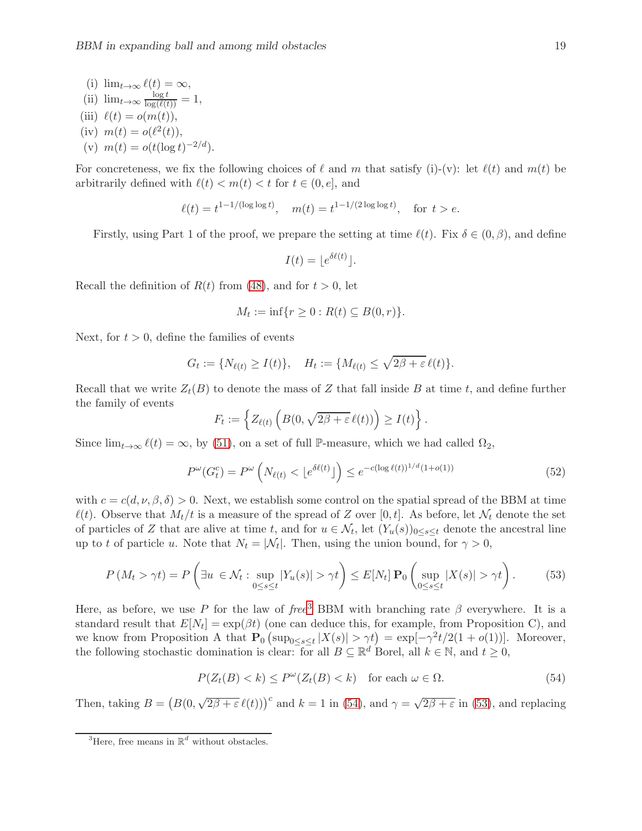(i) 
$$
\lim_{t \to \infty} \ell(t) = \infty
$$
,  
\n(ii)  $\lim_{t \to \infty} \frac{\log t}{\log(\ell(t))} = 1$ ,  
\n(iii)  $\ell(t) = o(m(t))$ ,  
\n(iv)  $m(t) = o(\ell^2(t))$ ,  
\n(v)  $m(t) = o(t(\log t)^{-2/d})$ .

For concreteness, we fix the following choices of  $\ell$  and m that satisfy (i)-(v): let  $\ell(t)$  and  $m(t)$  be arbitrarily defined with  $\ell(t) < m(t) < t$  for  $t \in (0, e]$ , and

$$
\ell(t) = t^{1-1/(\log \log t)}, \quad m(t) = t^{1-1/(2 \log \log t)}, \quad \text{for } t > e.
$$

Firstly, using Part 1 of the proof, we prepare the setting at time  $\ell(t)$ . Fix  $\delta \in (0,\beta)$ , and define

$$
I(t) = \lfloor e^{\delta \ell(t)} \rfloor.
$$

Recall the definition of  $R(t)$  from [\(48\)](#page-16-2), and for  $t > 0$ , let

$$
M_t := \inf\{r \ge 0 : R(t) \subseteq B(0,r)\}.
$$

Next, for  $t > 0$ , define the families of events

$$
G_t := \{ N_{\ell(t)} \ge I(t) \}, \quad H_t := \{ M_{\ell(t)} \le \sqrt{2\beta + \varepsilon} \, \ell(t) \}.
$$

Recall that we write  $Z_t(B)$  to denote the mass of Z that fall inside B at time t, and define further the family of events

$$
F_t := \left\{ Z_{\ell(t)} \left( B(0, \sqrt{2\beta + \varepsilon} \,\ell(t)) \right) \ge I(t) \right\}.
$$

Since  $\lim_{t\to\infty} \ell(t) = \infty$ , by [\(51\)](#page-17-2), on a set of full P-measure, which we had called  $\Omega_2$ ,

<span id="page-18-3"></span>
$$
P^{\omega}(G_t^c) = P^{\omega}\left(N_{\ell(t)} < \lfloor e^{\delta\ell(t)} \rfloor\right) \leq e^{-c(\log \ell(t))^{1/d}(1 + o(1))} \tag{52}
$$

with  $c = c(d, \nu, \beta, \delta) > 0$ . Next, we establish some control on the spatial spread of the BBM at time  $\ell(t)$ . Observe that  $M_t/t$  is a measure of the spread of Z over [0, t]. As before, let  $\mathcal{N}_t$  denote the set of particles of Z that are alive at time t, and for  $u \in \mathcal{N}_t$ , let  $(Y_u(s))_{0 \le s \le t}$  denote the ancestral line up to t of particle u. Note that  $N_t = |\mathcal{N}_t|$ . Then, using the union bound, for  $\gamma > 0$ ,

<span id="page-18-2"></span>
$$
P(M_t > \gamma t) = P\left(\exists u \in \mathcal{N}_t : \sup_{0 \le s \le t} |Y_u(s)| > \gamma t\right) \le E[N_t] \mathbf{P}_0\left(\sup_{0 \le s \le t} |X(s)| > \gamma t\right). \tag{53}
$$

Here, as before, we use P for the law of free<sup>[3](#page-18-0)</sup> BBM with branching rate  $\beta$  everywhere. It is a standard result that  $E[N_t] = \exp(\beta t)$  (one can deduce this, for example, from Proposition C), and we know from Proposition A that  $\mathbf{P}_0$   $(\sup_{0 \le s \le t} |X(s)| > \gamma t) = \exp[-\gamma^2 t/2(1 + o(1))]$ . Moreover, the following stochastic domination is clear: for all  $B \subseteq \mathbb{R}^d$  Borel, all  $k \in \mathbb{N}$ , and  $t \ge 0$ ,

<span id="page-18-1"></span>
$$
P(Z_t(B) < k) \le P^{\omega}(Z_t(B) < k) \quad \text{for each } \omega \in \Omega. \tag{54}
$$

Then, taking  $B = (B(0, \sqrt{2\beta + \varepsilon} \ell(t)))^c$  and  $k = 1$  in [\(54\)](#page-18-1), and  $\gamma = \sqrt{2\beta + \varepsilon}$  in [\(53\)](#page-18-2), and replacing

<span id="page-18-0"></span><sup>&</sup>lt;sup>3</sup>Here, free means in  $\mathbb{R}^d$  without obstacles.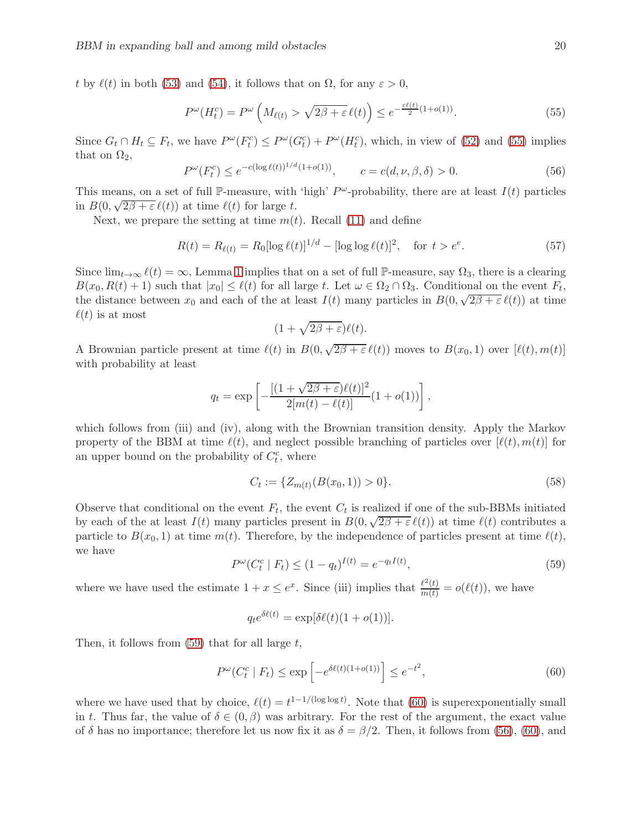t by  $\ell(t)$  in both [\(53\)](#page-18-2) and [\(54\)](#page-18-1), it follows that on  $\Omega$ , for any  $\varepsilon > 0$ ,

<span id="page-19-0"></span>
$$
P^{\omega}(H_t^c) = P^{\omega}\left(M_{\ell(t)} > \sqrt{2\beta + \varepsilon} \,\ell(t)\right) \le e^{-\frac{\varepsilon\ell(t)}{2}(1 + o(1))}.\tag{55}
$$

Since  $G_t \cap H_t \subseteq F_t$ , we have  $P^{\omega}(F_t^c) \le P^{\omega}(G_t^c) + P^{\omega}(H_t^c)$ , which, in view of [\(52\)](#page-18-3) and [\(55\)](#page-19-0) implies that on  $\Omega_2$ ,

<span id="page-19-3"></span>
$$
P^{\omega}(F_t^c) \le e^{-c(\log \ell(t))^{1/d}(1+o(1))}, \qquad c = c(d, \nu, \beta, \delta) > 0.
$$
 (56)

This means, on a set of full P-measure, with 'high'  $P^{\omega}$ -probability, there are at least  $I(t)$  particles in  $B(0, \sqrt{2\beta + \varepsilon} \ell(t))$  at time  $\ell(t)$  for large t.

Next, we prepare the setting at time  $m(t)$ . Recall [\(11\)](#page-6-1) and define

<span id="page-19-5"></span>
$$
R(t) = R_{\ell(t)} = R_0 [\log \ell(t)]^{1/d} - [\log \log \ell(t)]^2, \quad \text{for } t > e^e.
$$
 (57)

Since  $\lim_{t\to\infty} \ell(t) = \infty$ , Lemma [1](#page-6-5) implies that on a set of full P-measure, say  $\Omega_3$ , there is a clearing  $B(x_0, R(t) + 1)$  such that  $|x_0| \leq \ell(t)$  for all large t. Let  $\omega \in \Omega_2 \cap \Omega_3$ . Conditional on the event  $F_t$ , the distance between  $x_0$  and each of the at least  $I(t)$  many particles in  $B(0, \sqrt{2\beta + \varepsilon}\ell(t))$  at time  $\ell(t)$  is at most

$$
(1+\sqrt{2\beta+\varepsilon})\ell(t).
$$

A Brownian particle present at time  $\ell(t)$  in  $B(0,\sqrt{2\beta+\varepsilon}\,\ell(t))$  moves to  $B(x_0,1)$  over  $[\ell(t),m(t)]$ with probability at least

$$
q_t = \exp\left[-\frac{[(1+\sqrt{2\beta+\varepsilon})\ell(t)]^2}{2[m(t)-\ell(t)]}(1+o(1))\right],
$$

which follows from (iii) and (iv), along with the Brownian transition density. Apply the Markov property of the BBM at time  $\ell(t)$ , and neglect possible branching of particles over  $[\ell(t), m(t)]$  for an upper bound on the probability of  $C_t^c$ , where

<span id="page-19-4"></span>
$$
C_t := \{ Z_{m(t)}(B(x_0, 1)) > 0 \}.
$$
\n(58)

Observe that conditional on the event  $F_t$ , the event  $C_t$  is realized if one of the sub-BBMs initiated by each of the at least  $I(t)$  many particles present in  $B(0, \sqrt{2\beta + \varepsilon} \ell(t))$  at time  $\ell(t)$  contributes a particle to  $B(x_0, 1)$  at time  $m(t)$ . Therefore, by the independence of particles present at time  $\ell(t)$ , we have

<span id="page-19-1"></span>
$$
P^{\omega}(C_t^c \mid F_t) \le (1 - q_t)^{I(t)} = e^{-q_t I(t)},\tag{59}
$$

where we have used the estimate  $1+x \leq e^x$ . Since (iii) implies that  $\frac{\ell^2(t)}{m(t)} = o(\ell(t))$ , we have

$$
q_t e^{\delta \ell(t)} = \exp[\delta \ell(t)(1 + o(1))].
$$

Then, it follows from  $(59)$  that for all large t,

<span id="page-19-2"></span>
$$
P^{\omega}(C_t^c \mid F_t) \le \exp\left[-e^{\delta\ell(t)(1+o(1))}\right] \le e^{-t^2},\tag{60}
$$

where we have used that by choice,  $\ell(t) = t^{1-1/(\log \log t)}$ . Note that [\(60\)](#page-19-2) is superexponentially small in t. Thus far, the value of  $\delta \in (0, \beta)$  was arbitrary. For the rest of the argument, the exact value of  $\delta$  has no importance; therefore let us now fix it as  $\delta = \beta/2$ . Then, it follows from [\(56\)](#page-19-3), [\(60\)](#page-19-2), and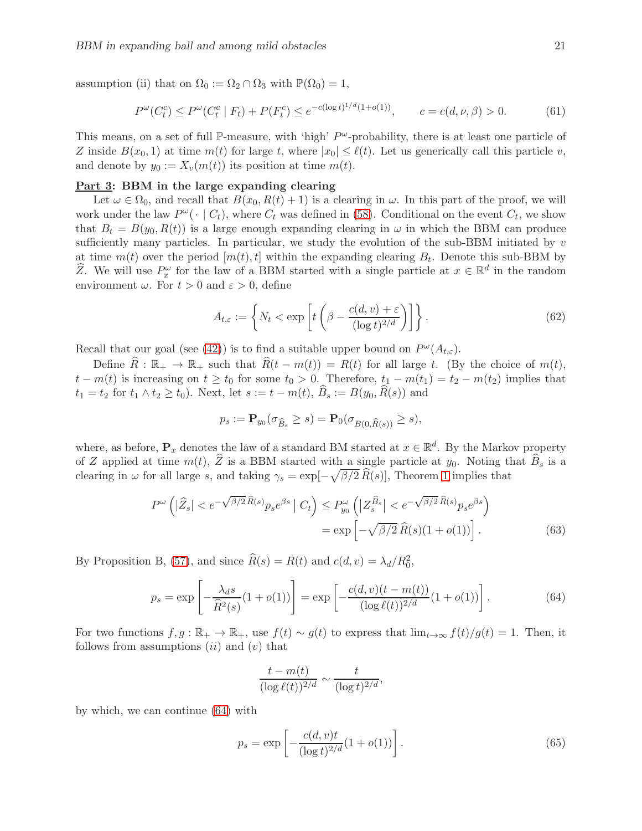assumption (ii) that on  $\Omega_0 := \Omega_2 \cap \Omega_3$  with  $\mathbb{P}(\Omega_0) = 1$ ,

<span id="page-20-3"></span>
$$
P^{\omega}(C_t^c) \le P^{\omega}(C_t^c \mid F_t) + P(F_t^c) \le e^{-c(\log t)^{1/d}(1+o(1))}, \qquad c = c(d, \nu, \beta) > 0.
$$
 (61)

This means, on a set of full P-measure, with 'high'  $P^{\omega}$ -probability, there is at least one particle of Z inside  $B(x_0, 1)$  at time  $m(t)$  for large t, where  $|x_0| \leq \ell(t)$ . Let us generically call this particle v, and denote by  $y_0 := X_v(m(t))$  its position at time  $m(t)$ .

## Part 3: BBM in the large expanding clearing

Let  $\omega \in \Omega_0$ , and recall that  $B(x_0, R(t) + 1)$  is a clearing in  $\omega$ . In this part of the proof, we will work under the law  $P^{\omega}(\cdot | C_t)$ , where  $C_t$  was defined in [\(58\)](#page-19-4). Conditional on the event  $C_t$ , we show that  $B_t = B(y_0, R(t))$  is a large enough expanding clearing in  $\omega$  in which the BBM can produce sufficiently many particles. In particular, we study the evolution of the sub-BBM initiated by  $v$ at time  $m(t)$  over the period  $[m(t), t]$  within the expanding clearing  $B_t$ . Denote this sub-BBM by  $\widehat{Z}$ . We will use  $P_x^{\omega}$  for the law of a BBM started with a single particle at  $x \in \mathbb{R}^d$  in the random environment  $\omega$ . For  $t > 0$  and  $\varepsilon > 0$ , define

<span id="page-20-4"></span>
$$
A_{t,\varepsilon} := \left\{ N_t < \exp\left[ t \left( \beta - \frac{c(d,v) + \varepsilon}{(\log t)^{2/d}} \right) \right] \right\}.
$$
\n(62)

Recall that our goal (see [\(42\)](#page-13-0)) is to find a suitable upper bound on  $P^{\omega}(A_{t,\varepsilon})$ .

Define  $\widehat{R}: \mathbb{R}_+ \to \mathbb{R}_+$  such that  $\widehat{R}(t - m(t)) = R(t)$  for all large t. (By the choice of  $m(t)$ ,  $t - m(t)$  is increasing on  $t \ge t_0$  for some  $t_0 > 0$ . Therefore,  $t_1 - m(t_1) = t_2 - m(t_2)$  implies that  $t_1 = t_2$  for  $t_1 \wedge t_2 \geq t_0$ . Next, let  $s := t - m(t)$ ,  $\widehat{B}_s := B(y_0, \widehat{R}(s))$  and

$$
p_s := \mathbf{P}_{y_0}(\sigma_{\widehat{B}_s} \ge s) = \mathbf{P}_0(\sigma_{B(0,\widehat{R}(s))} \ge s),
$$

where, as before,  $P_x$  denotes the law of a standard BM started at  $x \in \mathbb{R}^d$ . By the Markov property of Z applied at time  $m(t)$ ,  $\hat{Z}$  is a BBM started with a single particle at  $y_0$ . Noting that  $\hat{B}_s$  is a clearing in  $\omega$  for all large s, and taking  $\gamma_s = \exp[-\sqrt{\beta/2} \,\hat{R}(s)]$ , Theorem [1](#page-4-0) implies that

$$
P^{\omega}\left(|\widehat{Z}_{s}| < e^{-\sqrt{\beta/2}\widehat{R}(s)}p_{s}e^{\beta s} \mid C_{t}\right) \le P_{y_{0}}^{\omega}\left(|Z_{s}^{\widehat{B}_{s}}| < e^{-\sqrt{\beta/2}\widehat{R}(s)}p_{s}e^{\beta s}\right)
$$

$$
= \exp\left[-\sqrt{\beta/2}\widehat{R}(s)(1+o(1))\right].
$$
(63)

By Proposition B, [\(57\)](#page-19-5), and since  $\widehat{R}(s) = R(t)$  and  $c(d, v) = \lambda_d/R_0^2$ ,

<span id="page-20-0"></span>
$$
p_s = \exp\left[-\frac{\lambda_d s}{\hat{R}^2(s)}(1+o(1))\right] = \exp\left[-\frac{c(d,v)(t-m(t))}{(\log \ell(t))^{2/d}}(1+o(1))\right].\tag{64}
$$

For two functions  $f, g : \mathbb{R}_+ \to \mathbb{R}_+$ , use  $f(t) \sim g(t)$  to express that  $\lim_{t\to\infty} f(t)/g(t) = 1$ . Then, it follows from assumptions  $(ii)$  and  $(v)$  that

<span id="page-20-2"></span>
$$
\frac{t - m(t)}{(\log \ell(t))^{2/d}} \sim \frac{t}{(\log t)^{2/d}},
$$

by which, we can continue [\(64\)](#page-20-0) with

<span id="page-20-1"></span>
$$
p_s = \exp\left[-\frac{c(d, v)t}{(\log t)^{2/d}}(1 + o(1))\right].
$$
\n(65)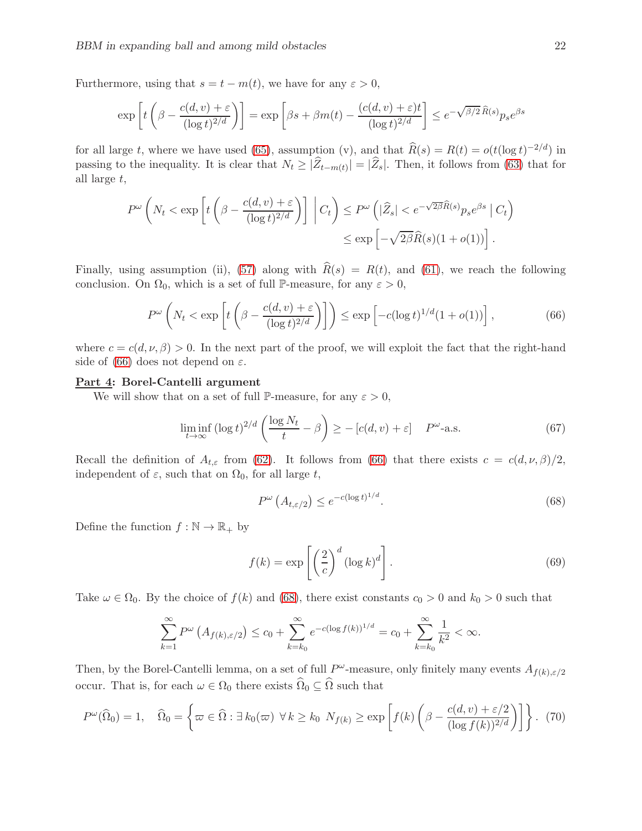Furthermore, using that  $s = t - m(t)$ , we have for any  $\varepsilon > 0$ ,

$$
\exp\left[t\left(\beta - \frac{c(d,v) + \varepsilon}{(\log t)^{2/d}}\right)\right] = \exp\left[\beta s + \beta m(t) - \frac{(c(d,v) + \varepsilon)t}{(\log t)^{2/d}}\right] \le e^{-\sqrt{\beta/2} \widehat{R}(s)} p_s e^{\beta s}
$$

for all large t, where we have used [\(65\)](#page-20-1), assumption (v), and that  $\widehat{R}(s) = R(t) = o(t(\log t)^{-2/d})$  in passing to the inequality. It is clear that  $N_t \geq |Z_{t-m(t)}| = |Z_s|$ . Then, it follows from [\(63\)](#page-20-2) that for all large t,

$$
P^{\omega}\left(N_t < \exp\left[t\left(\beta - \frac{c(d,v) + \varepsilon}{(\log t)^{2/d}}\right)\right] \, \bigg| \, C_t\right) \le P^{\omega}\left(|\widehat{Z}_s| < e^{-\sqrt{2\beta}\widehat{R}(s)}p_s e^{\beta s} \, \bigg| \, C_t\right) \le \exp\left[-\sqrt{2\beta}\widehat{R}(s)(1 + o(1))\right].
$$

Finally, using assumption (ii), [\(57\)](#page-19-5) along with  $\hat{R}(s) = R(t)$ , and [\(61\)](#page-20-3), we reach the following conclusion. On  $\Omega_0$ , which is a set of full P-measure, for any  $\varepsilon > 0$ ,

<span id="page-21-0"></span>
$$
P^{\omega}\left(N_t < \exp\left[t\left(\beta - \frac{c(d,v) + \varepsilon}{(\log t)^{2/d}}\right)\right]\right) \le \exp\left[-c(\log t)^{1/d}(1 + o(1))\right],\tag{66}
$$

where  $c = c(d, \nu, \beta) > 0$ . In the next part of the proof, we will exploit the fact that the right-hand side of [\(66\)](#page-21-0) does not depend on  $\varepsilon$ .

# Part 4: Borel-Cantelli argument

We will show that on a set of full P-measure, for any  $\varepsilon > 0$ ,

<span id="page-21-2"></span>
$$
\liminf_{t \to \infty} (\log t)^{2/d} \left( \frac{\log N_t}{t} - \beta \right) \ge - [c(d, v) + \varepsilon] \quad P^{\omega} \text{-a.s.}
$$
 (67)

Recall the definition of  $A_{t,\varepsilon}$  from [\(62\)](#page-20-4). It follows from [\(66\)](#page-21-0) that there exists  $c = c(d,\nu,\beta)/2$ , independent of  $\varepsilon$ , such that on  $\Omega_0$ , for all large t,

<span id="page-21-1"></span>
$$
P^{\omega}\left(A_{t,\varepsilon/2}\right) \le e^{-c(\log t)^{1/d}}.\tag{68}
$$

Define the function  $f : \mathbb{N} \to \mathbb{R}_+$  by

<span id="page-21-4"></span>
$$
f(k) = \exp\left[\left(\frac{2}{c}\right)^d (\log k)^d\right].
$$
\n(69)

Take  $\omega \in \Omega_0$ . By the choice of  $f(k)$  and [\(68\)](#page-21-1), there exist constants  $c_0 > 0$  and  $k_0 > 0$  such that

$$
\sum_{k=1}^{\infty} P^{\omega} \left( A_{f(k), \varepsilon/2} \right) \leq c_0 + \sum_{k=k_0}^{\infty} e^{-c(\log f(k))^{1/d}} = c_0 + \sum_{k=k_0}^{\infty} \frac{1}{k^2} < \infty.
$$

Then, by the Borel-Cantelli lemma, on a set of full  $P^{\omega}$ -measure, only finitely many events  $A_{f(k),\varepsilon/2}$ occur. That is, for each  $\omega \in \Omega_0$  there exists  $\widehat{\Omega}_0 \subseteq \widehat{\Omega}$  such that

<span id="page-21-3"></span>
$$
P^{\omega}(\widehat{\Omega}_0) = 1, \quad \widehat{\Omega}_0 = \left\{ \varpi \in \widehat{\Omega} : \exists \, k_0(\varpi) \, \forall \, k \ge k_0 \, N_{f(k)} \ge \exp\left[ f(k) \left( \beta - \frac{c(d, v) + \varepsilon/2}{(\log f(k))^{2/d}} \right) \right] \right\}. \tag{70}
$$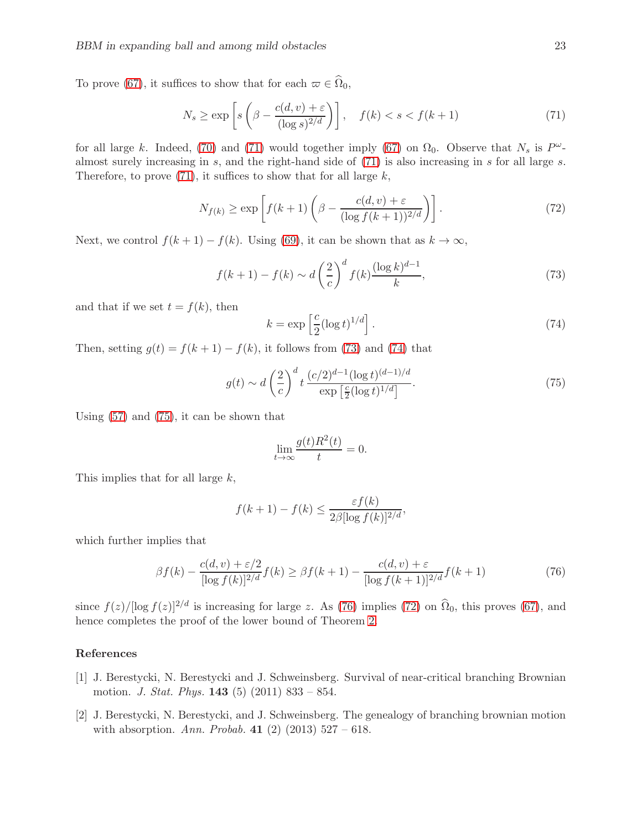To prove [\(67\)](#page-21-2), it suffices to show that for each  $\varpi \in \widehat{\Omega}_0$ ,

<span id="page-22-2"></span>
$$
N_s \ge \exp\left[s\left(\beta - \frac{c(d,v) + \varepsilon}{(\log s)^{2/d}}\right)\right], \quad f(k) < s < f(k+1) \tag{71}
$$

for all large k. Indeed, [\(70\)](#page-21-3) and [\(71\)](#page-22-2) would together imply [\(67\)](#page-21-2) on  $\Omega_0$ . Observe that  $N_s$  is  $P^{\omega}$ almost surely increasing in  $s$ , and the right-hand side of  $(71)$  is also increasing in  $s$  for all large  $s$ . Therefore, to prove  $(71)$ , it suffices to show that for all large k,

<span id="page-22-7"></span>
$$
N_{f(k)} \ge \exp\left[f(k+1)\left(\beta - \frac{c(d,v) + \varepsilon}{(\log f(k+1))^{2/d}}\right)\right].\tag{72}
$$

Next, we control  $f(k + 1) - f(k)$ . Using [\(69\)](#page-21-4), it can be shown that as  $k \to \infty$ ,

<span id="page-22-3"></span>
$$
f(k+1) - f(k) \sim d\left(\frac{2}{c}\right)^d f(k) \frac{(\log k)^{d-1}}{k},\tag{73}
$$

and that if we set  $t = f(k)$ , then

<span id="page-22-4"></span>
$$
k = \exp\left[\frac{c}{2}(\log t)^{1/d}\right].\tag{74}
$$

Then, setting  $g(t) = f(k+1) - f(k)$ , it follows from [\(73\)](#page-22-3) and [\(74\)](#page-22-4) that

<span id="page-22-5"></span>
$$
g(t) \sim d\left(\frac{2}{c}\right)^d t \frac{(c/2)^{d-1}(\log t)^{(d-1)/d}}{\exp\left[\frac{c}{2}(\log t)^{1/d}\right]}.
$$
 (75)

Using [\(57\)](#page-19-5) and [\(75\)](#page-22-5), it can be shown that

$$
\lim_{t \to \infty} \frac{g(t)R^2(t)}{t} = 0.
$$

This implies that for all large k,

$$
f(k+1) - f(k) \le \frac{\varepsilon f(k)}{2\beta [\log f(k)]^{2/d}},
$$

which further implies that

<span id="page-22-6"></span>
$$
\beta f(k) - \frac{c(d, v) + \varepsilon/2}{[\log f(k)]^{2/d}} f(k) \ge \beta f(k+1) - \frac{c(d, v) + \varepsilon}{[\log f(k+1)]^{2/d}} f(k+1)
$$
(76)

since  $f(z)/[\log f(z)]^{2/d}$  is increasing for large z. As [\(76\)](#page-22-6) implies [\(72\)](#page-22-7) on  $\hat{\Omega}_0$ , this proves [\(67\)](#page-21-2), and hence completes the proof of the lower bound of Theorem [2.](#page-5-0)

### References

- <span id="page-22-0"></span>[1] J. Berestycki, N. Berestycki and J. Schweinsberg. Survival of near-critical branching Brownian motion. J. Stat. Phys. 143 (5) (2011) 833 – 854.
- <span id="page-22-1"></span>[2] J. Berestycki, N. Berestycki, and J. Schweinsberg. The genealogy of branching brownian motion with absorption. Ann. Probab. 41 (2) (2013)  $527 - 618$ .